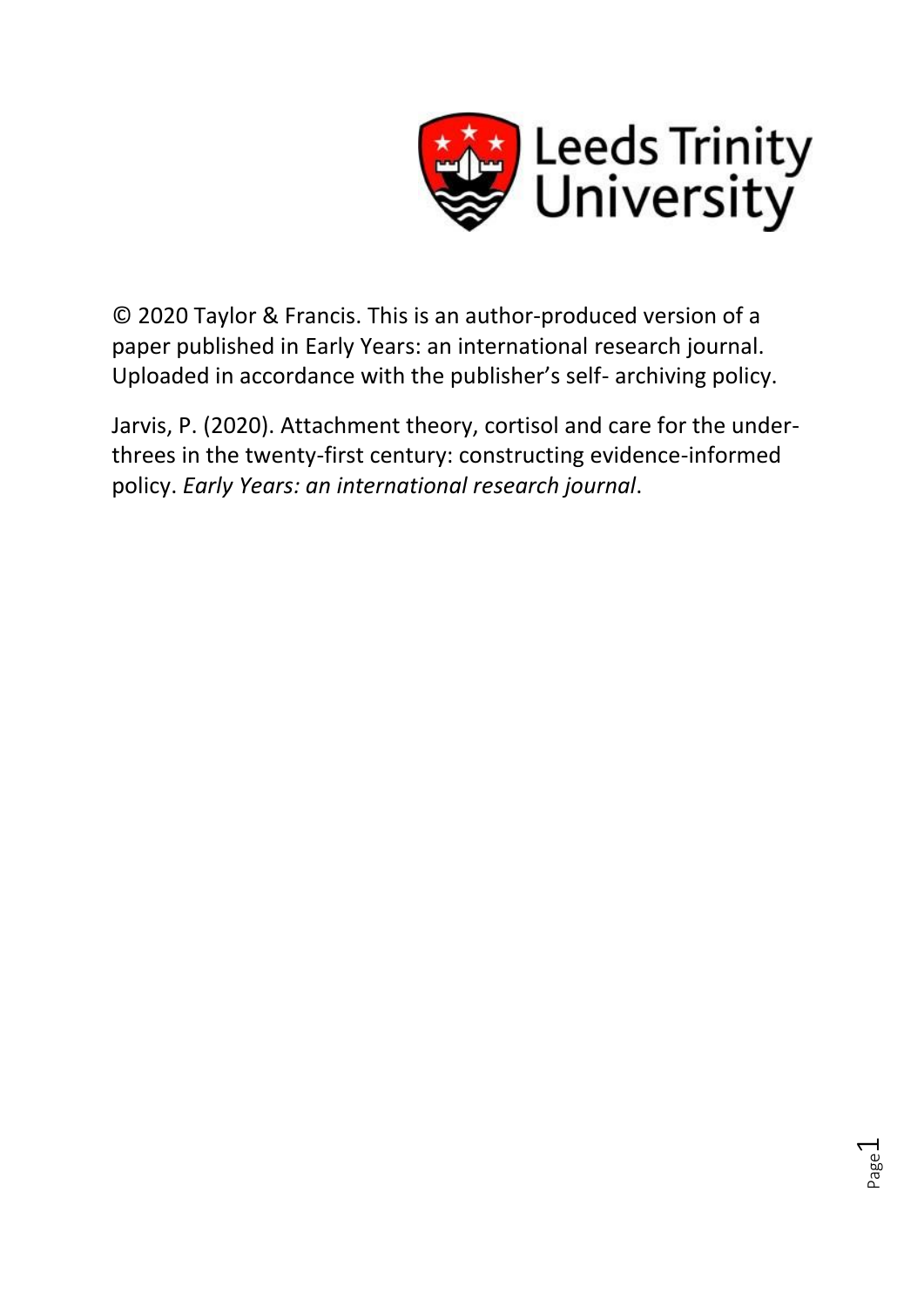

© 2020 Taylor & Francis. This is an author-produced version of a paper published in Early Years: an international research journal. Uploaded in accordance with the publisher's self- archiving policy.

Jarvis, P. (2020). Attachment theory, cortisol and care for the underthrees in the twenty-first century: constructing evidence-informed policy. *Early Years: an international research journal*.

Page  $\overline{\phantom{0}}$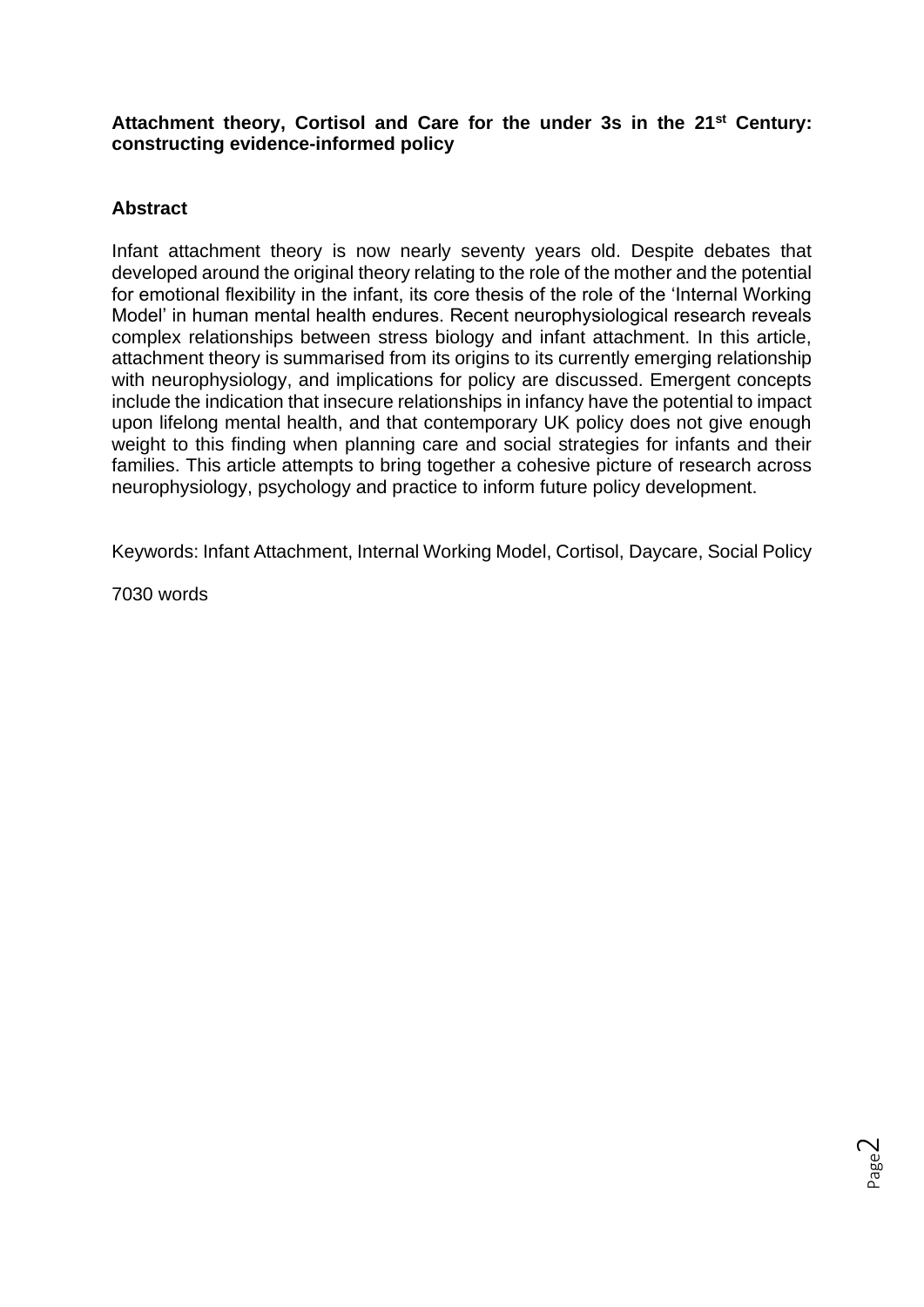## **Attachment theory, Cortisol and Care for the under 3s in the 21st Century: constructing evidence-informed policy**

# **Abstract**

Infant attachment theory is now nearly seventy years old. Despite debates that developed around the original theory relating to the role of the mother and the potential for emotional flexibility in the infant, its core thesis of the role of the 'Internal Working Model' in human mental health endures. Recent neurophysiological research reveals complex relationships between stress biology and infant attachment. In this article, attachment theory is summarised from its origins to its currently emerging relationship with neurophysiology, and implications for policy are discussed. Emergent concepts include the indication that insecure relationships in infancy have the potential to impact upon lifelong mental health, and that contemporary UK policy does not give enough weight to this finding when planning care and social strategies for infants and their families. This article attempts to bring together a cohesive picture of research across neurophysiology, psychology and practice to inform future policy development.

Keywords: Infant Attachment, Internal Working Model, Cortisol, Daycare, Social Policy

7030 words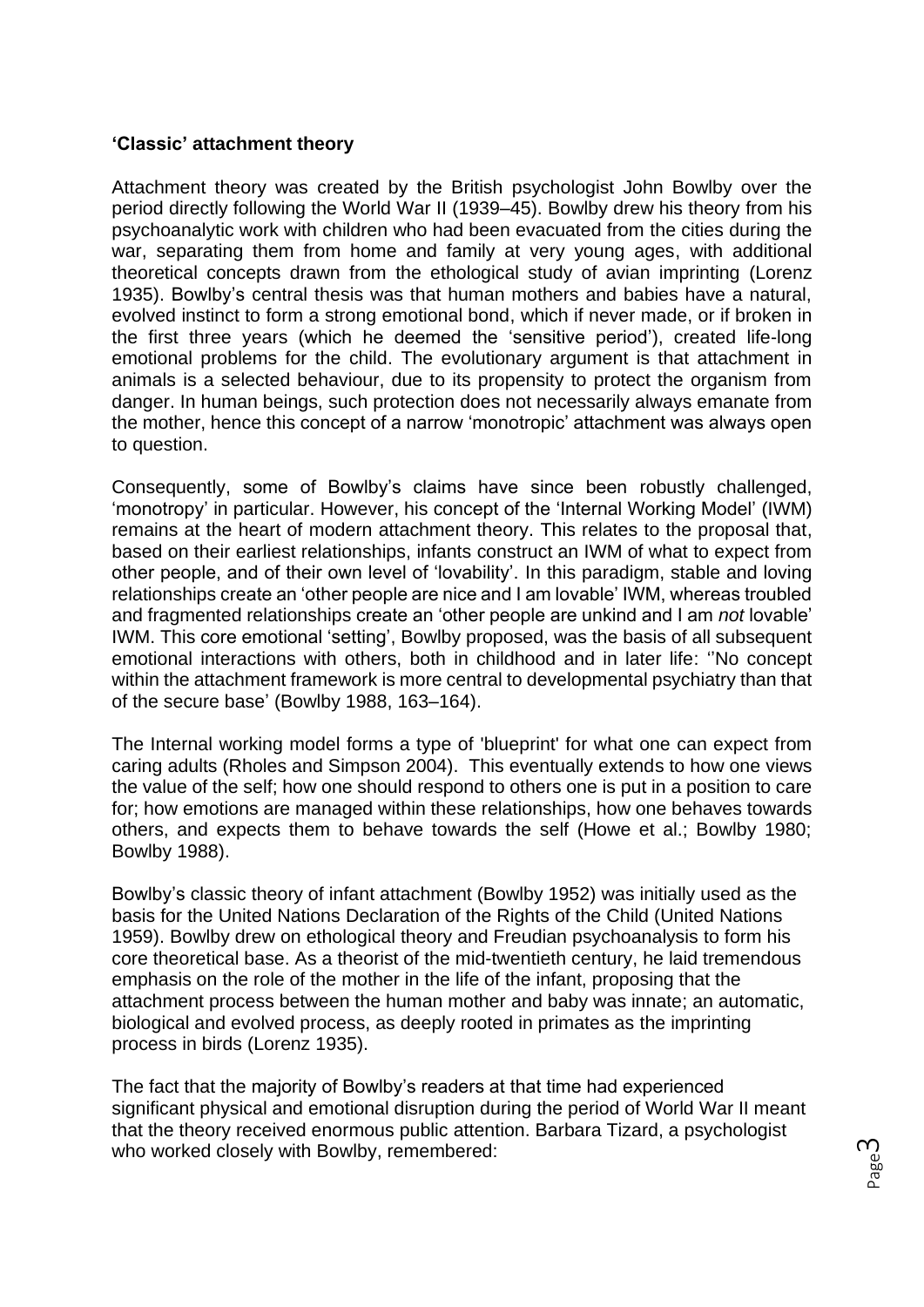## **'Classic' attachment theory**

Attachment theory was created by the British psychologist John Bowlby over the period directly following the World War II (1939–45). Bowlby drew his theory from his psychoanalytic work with children who had been evacuated from the cities during the war, separating them from home and family at very young ages, with additional theoretical concepts drawn from the ethological study of avian imprinting (Lorenz 1935). Bowlby's central thesis was that human mothers and babies have a natural, evolved instinct to form a strong emotional bond, which if never made, or if broken in the first three years (which he deemed the 'sensitive period'), created life-long emotional problems for the child. The evolutionary argument is that attachment in animals is a selected behaviour, due to its propensity to protect the organism from danger. In human beings, such protection does not necessarily always emanate from the mother, hence this concept of a narrow 'monotropic' attachment was always open to question.

Consequently, some of Bowlby's claims have since been robustly challenged, 'monotropy' in particular. However, his concept of the 'Internal Working Model' (IWM) remains at the heart of modern attachment theory. This relates to the proposal that, based on their earliest relationships, infants construct an IWM of what to expect from other people, and of their own level of 'lovability'. In this paradigm, stable and loving relationships create an 'other people are nice and I am lovable' IWM, whereas troubled and fragmented relationships create an 'other people are unkind and I am *not* lovable' IWM. This core emotional 'setting', Bowlby proposed, was the basis of all subsequent emotional interactions with others, both in childhood and in later life: ''No concept within the attachment framework is more central to developmental psychiatry than that of the secure base' (Bowlby 1988, 163–164).

The Internal working model forms a type of 'blueprint' for what one can expect from caring adults (Rholes and Simpson 2004). This eventually extends to how one views the value of the self; how one should respond to others one is put in a position to care for; how emotions are managed within these relationships, how one behaves towards others, and expects them to behave towards the self (Howe et al.; Bowlby 1980; Bowlby 1988).

Bowlby's classic theory of infant attachment (Bowlby 1952) was initially used as the basis for the United Nations Declaration of the Rights of the Child (United Nations 1959). Bowlby drew on ethological theory and Freudian psychoanalysis to form his core theoretical base. As a theorist of the mid-twentieth century, he laid tremendous emphasis on the role of the mother in the life of the infant, proposing that the attachment process between the human mother and baby was innate; an automatic, biological and evolved process, as deeply rooted in primates as the imprinting process in birds (Lorenz 1935).

The fact that the majority of Bowlby's readers at that time had experienced significant physical and emotional disruption during the period of World War II meant that the theory received enormous public attention. Barbara Tizard, a psychologist who worked closely with Bowlby, remembered: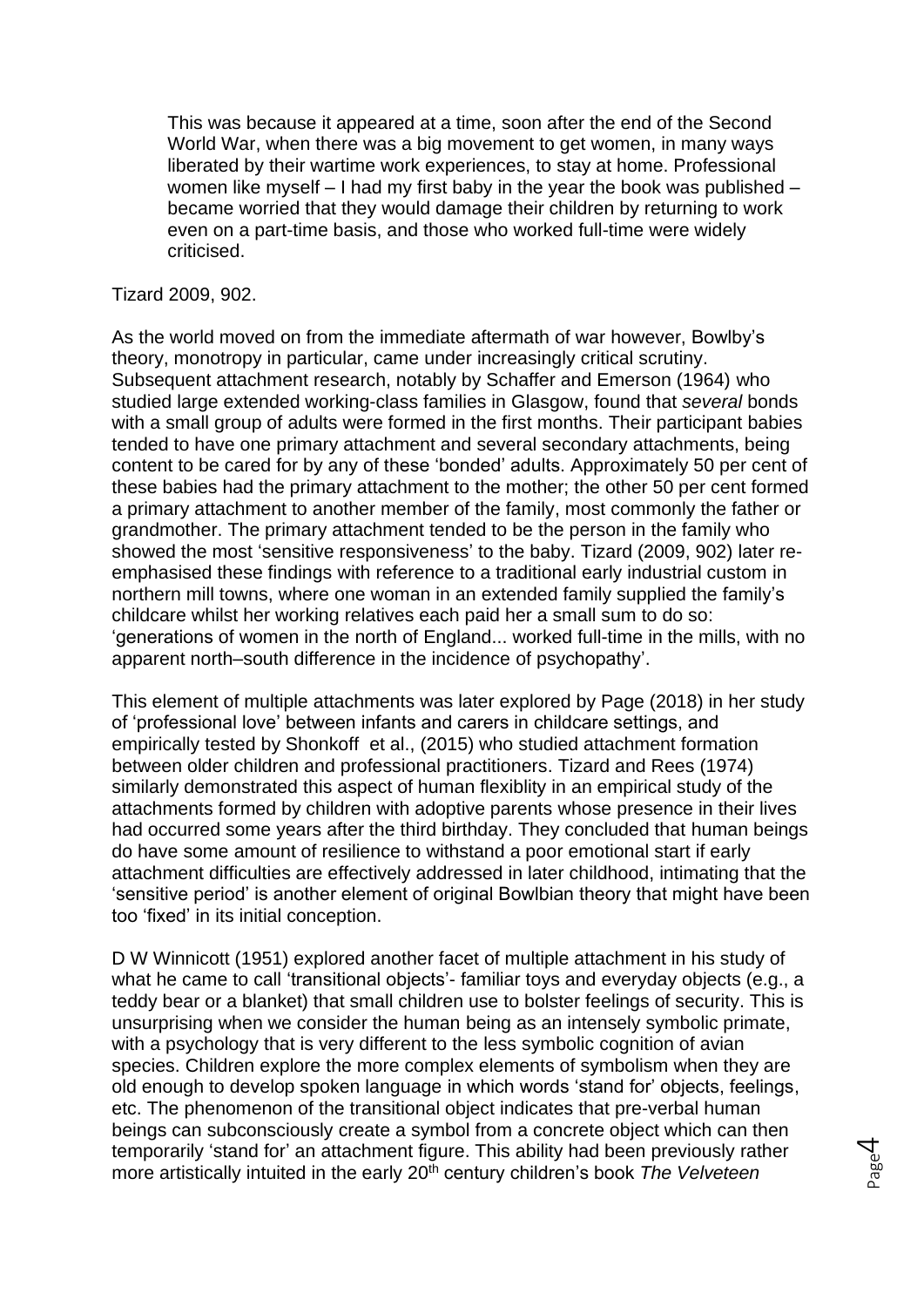This was because it appeared at a time, soon after the end of the Second World War, when there was a big movement to get women, in many ways liberated by their wartime work experiences, to stay at home. Professional women like myself – I had my first baby in the year the book was published – became worried that they would damage their children by returning to work even on a part-time basis, and those who worked full-time were widely criticised.

Tizard 2009, 902.

As the world moved on from the immediate aftermath of war however, Bowlby's theory, monotropy in particular, came under increasingly critical scrutiny. Subsequent attachment research, notably by Schaffer and Emerson (1964) who studied large extended working-class families in Glasgow, found that *several* bonds with a small group of adults were formed in the first months. Their participant babies tended to have one primary attachment and several secondary attachments, being content to be cared for by any of these 'bonded' adults. Approximately 50 per cent of these babies had the primary attachment to the mother; the other 50 per cent formed a primary attachment to another member of the family, most commonly the father or grandmother. The primary attachment tended to be the person in the family who showed the most 'sensitive responsiveness' to the baby. Tizard (2009, 902) later reemphasised these findings with reference to a traditional early industrial custom in northern mill towns, where one woman in an extended family supplied the family's childcare whilst her working relatives each paid her a small sum to do so: 'generations of women in the north of England... worked full-time in the mills, with no apparent north–south difference in the incidence of psychopathy'.

This element of multiple attachments was later explored by Page (2018) in her study of 'professional love' between infants and carers in childcare settings, and empirically tested by Shonkoff et al., (2015) who studied attachment formation between older children and professional practitioners. Tizard and Rees (1974) similarly demonstrated this aspect of human flexiblity in an empirical study of the attachments formed by children with adoptive parents whose presence in their lives had occurred some years after the third birthday. They concluded that human beings do have some amount of resilience to withstand a poor emotional start if early attachment difficulties are effectively addressed in later childhood, intimating that the 'sensitive period' is another element of original Bowlbian theory that might have been too 'fixed' in its initial conception.

D W Winnicott (1951) explored another facet of multiple attachment in his study of what he came to call 'transitional objects'- familiar toys and everyday objects (e.g., a teddy bear or a blanket) that small children use to bolster feelings of security. This is unsurprising when we consider the human being as an intensely symbolic primate, with a psychology that is very different to the less symbolic cognition of avian species. Children explore the more complex elements of symbolism when they are old enough to develop spoken language in which words 'stand for' objects, feelings, etc. The phenomenon of the transitional object indicates that pre-verbal human beings can subconsciously create a symbol from a concrete object which can then temporarily 'stand for' an attachment figure. This ability had been previously rather more artistically intuited in the early 20th century children's book *The Velveteen*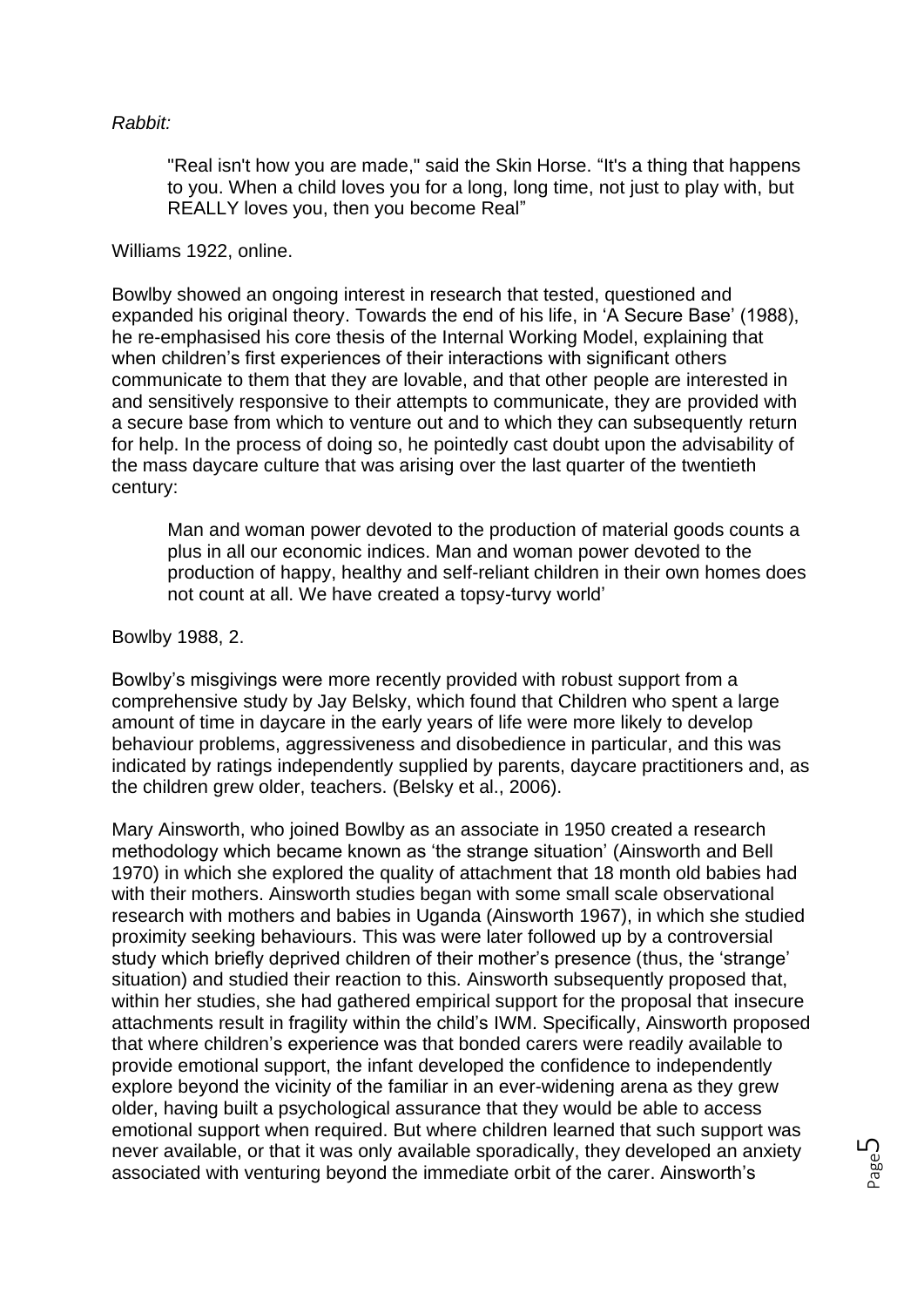### *Rabbit:*

"Real isn't how you are made," said the Skin Horse. "It's a thing that happens to you. When a child loves you for a long, long time, not just to play with, but REALLY loves you, then you become Real"

#### Williams 1922, online.

Bowlby showed an ongoing interest in research that tested, questioned and expanded his original theory. Towards the end of his life, in 'A Secure Base' (1988), he re-emphasised his core thesis of the Internal Working Model, explaining that when children's first experiences of their interactions with significant others communicate to them that they are lovable, and that other people are interested in and sensitively responsive to their attempts to communicate, they are provided with a secure base from which to venture out and to which they can subsequently return for help. In the process of doing so, he pointedly cast doubt upon the advisability of the mass daycare culture that was arising over the last quarter of the twentieth century:

Man and woman power devoted to the production of material goods counts a plus in all our economic indices. Man and woman power devoted to the production of happy, healthy and self-reliant children in their own homes does not count at all. We have created a topsy-turvy world'

### Bowlby 1988, 2.

Bowlby's misgivings were more recently provided with robust support from a comprehensive study by Jay Belsky, which found that Children who spent a large amount of time in daycare in the early years of life were more likely to develop behaviour problems, aggressiveness and disobedience in particular, and this was indicated by ratings independently supplied by parents, daycare practitioners and, as the children grew older, teachers. (Belsky et al., 2006).

Mary Ainsworth, who joined Bowlby as an associate in 1950 created a research methodology which became known as 'the strange situation' (Ainsworth and Bell 1970) in which she explored the quality of attachment that 18 month old babies had with their mothers. Ainsworth studies began with some small scale observational research with mothers and babies in Uganda (Ainsworth 1967), in which she studied proximity seeking behaviours. This was were later followed up by a controversial study which briefly deprived children of their mother's presence (thus, the 'strange' situation) and studied their reaction to this. Ainsworth subsequently proposed that, within her studies, she had gathered empirical support for the proposal that insecure attachments result in fragility within the child's IWM. Specifically, Ainsworth proposed that where children's experience was that bonded carers were readily available to provide emotional support, the infant developed the confidence to independently explore beyond the vicinity of the familiar in an ever-widening arena as they grew older, having built a psychological assurance that they would be able to access emotional support when required. But where children learned that such support was never available, or that it was only available sporadically, they developed an anxiety associated with venturing beyond the immediate orbit of the carer. Ainsworth's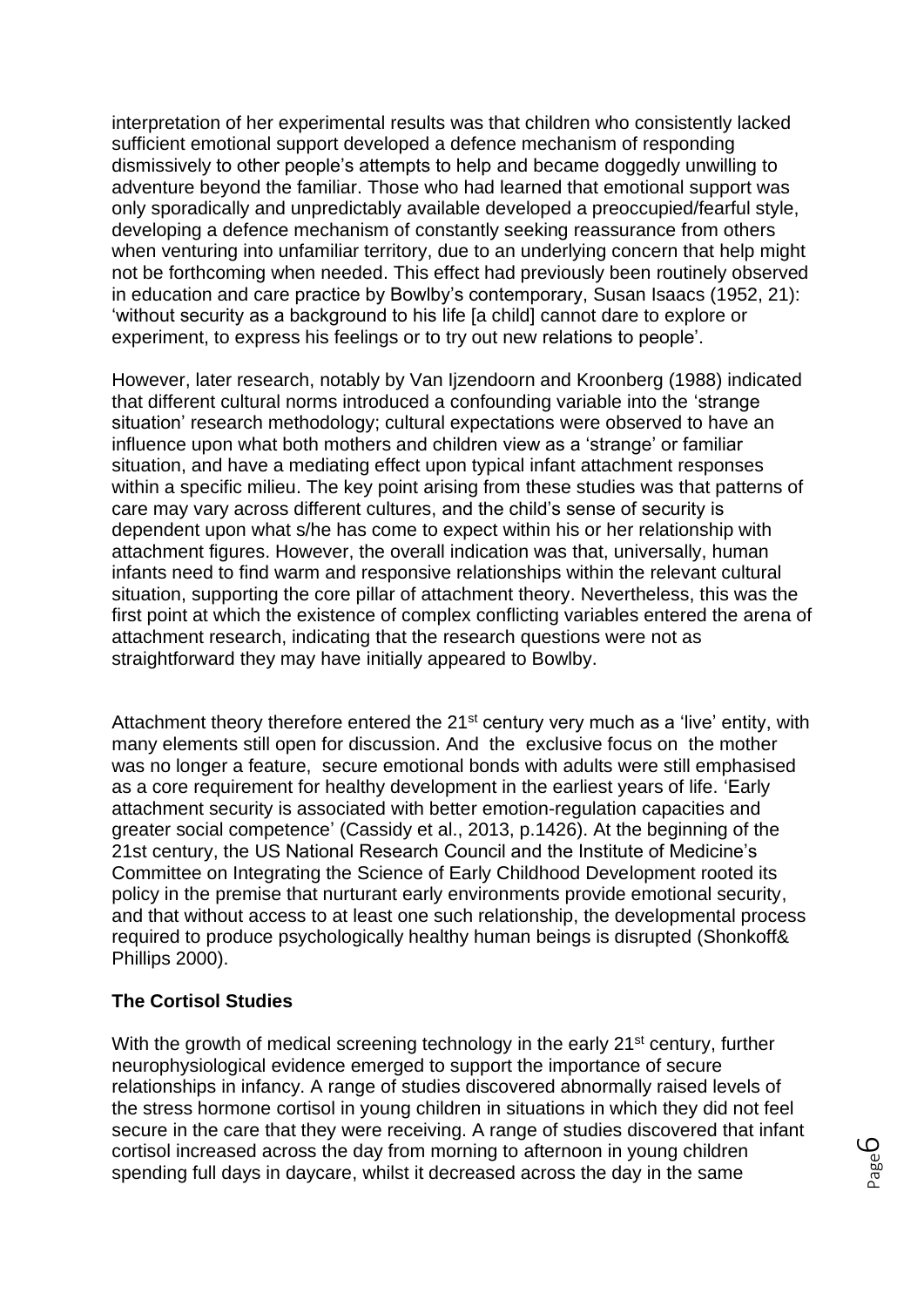interpretation of her experimental results was that children who consistently lacked sufficient emotional support developed a defence mechanism of responding dismissively to other people's attempts to help and became doggedly unwilling to adventure beyond the familiar. Those who had learned that emotional support was only sporadically and unpredictably available developed a preoccupied/fearful style, developing a defence mechanism of constantly seeking reassurance from others when venturing into unfamiliar territory, due to an underlying concern that help might not be forthcoming when needed. This effect had previously been routinely observed in education and care practice by Bowlby's contemporary, Susan Isaacs (1952, 21): 'without security as a background to his life [a child] cannot dare to explore or experiment, to express his feelings or to try out new relations to people'.

However, later research, notably by Van Ijzendoorn and Kroonberg (1988) indicated that different cultural norms introduced a confounding variable into the 'strange situation' research methodology; cultural expectations were observed to have an influence upon what both mothers and children view as a 'strange' or familiar situation, and have a mediating effect upon typical infant attachment responses within a specific milieu. The key point arising from these studies was that patterns of care may vary across different cultures, and the child's sense of security is dependent upon what s/he has come to expect within his or her relationship with attachment figures. However, the overall indication was that, universally, human infants need to find warm and responsive relationships within the relevant cultural situation, supporting the core pillar of attachment theory. Nevertheless, this was the first point at which the existence of complex conflicting variables entered the arena of attachment research, indicating that the research questions were not as straightforward they may have initially appeared to Bowlby.

Attachment theory therefore entered the 21<sup>st</sup> century very much as a 'live' entity, with many elements still open for discussion. And the exclusive focus on the mother was no longer a feature, secure emotional bonds with adults were still emphasised as a core requirement for healthy development in the earliest years of life. 'Early attachment security is associated with better emotion-regulation capacities and greater social competence' (Cassidy et al., 2013, p.1426). At the beginning of the 21st century, the US National Research Council and the Institute of Medicine's Committee on Integrating the Science of Early Childhood Development rooted its policy in the premise that nurturant early environments provide emotional security, and that without access to at least one such relationship, the developmental process required to produce psychologically healthy human beings is disrupted (Shonkoff& Phillips 2000).

#### **The Cortisol Studies**

With the growth of medical screening technology in the early 21<sup>st</sup> century, further neurophysiological evidence emerged to support the importance of secure relationships in infancy. A range of studies discovered abnormally raised levels of the stress hormone cortisol in young children in situations in which they did not feel secure in the care that they were receiving. A range of studies discovered that infant cortisol increased across the day from morning to afternoon in young children spending full days in daycare, whilst it decreased across the day in the same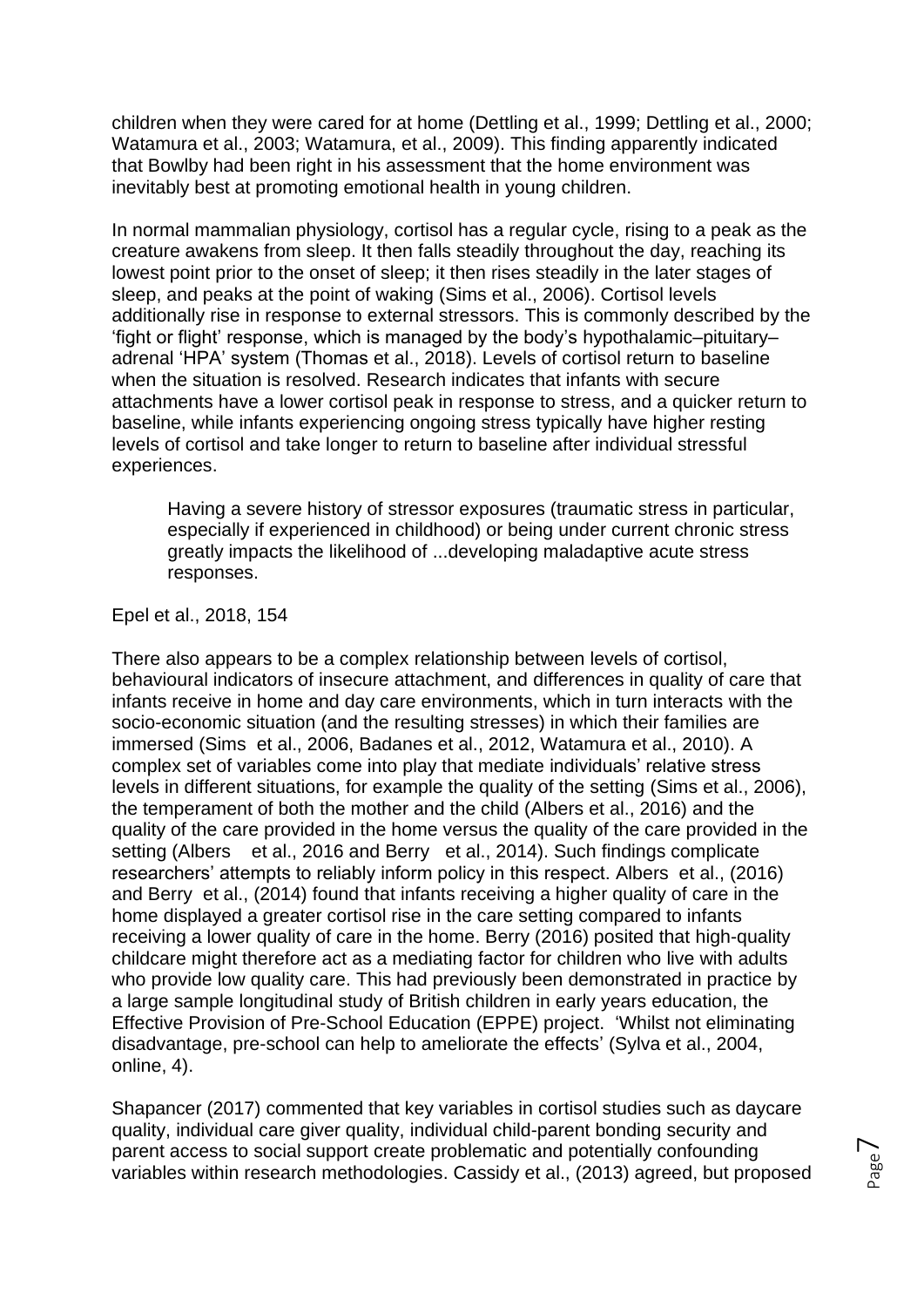children when they were cared for at home (Dettling et al., 1999; Dettling et al., 2000; Watamura et al., 2003; Watamura, et al., 2009). This finding apparently indicated that Bowlby had been right in his assessment that the home environment was inevitably best at promoting emotional health in young children.

In normal mammalian physiology, cortisol has a regular cycle, rising to a peak as the creature awakens from sleep. It then falls steadily throughout the day, reaching its lowest point prior to the onset of sleep; it then rises steadily in the later stages of sleep, and peaks at the point of waking (Sims et al., 2006). Cortisol levels additionally rise in response to external stressors. This is commonly described by the 'fight or flight' response, which is managed by the body's hypothalamic–pituitary– adrenal 'HPA' system (Thomas et al., 2018). Levels of cortisol return to baseline when the situation is resolved. Research indicates that infants with secure attachments have a lower cortisol peak in response to stress, and a quicker return to baseline, while infants experiencing ongoing stress typically have higher resting levels of cortisol and take longer to return to baseline after individual stressful experiences.

Having a severe history of stressor exposures (traumatic stress in particular, especially if experienced in childhood) or being under current chronic stress greatly impacts the likelihood of ...developing maladaptive acute stress responses.

Epel et al., 2018, 154

There also appears to be a complex relationship between levels of cortisol, behavioural indicators of insecure attachment, and differences in quality of care that infants receive in home and day care environments, which in turn interacts with the socio-economic situation (and the resulting stresses) in which their families are immersed (Sims et al., 2006, Badanes et al., 2012, Watamura et al., 2010). A complex set of variables come into play that mediate individuals' relative stress levels in different situations, for example the quality of the setting (Sims et al., 2006), the temperament of both the mother and the child (Albers et al., 2016) and the quality of the care provided in the home versus the quality of the care provided in the setting (Albers et al., 2016 and Berry et al., 2014). Such findings complicate researchers' attempts to reliably inform policy in this respect. Albers et al., (2016) and Berry et al., (2014) found that infants receiving a higher quality of care in the home displayed a greater cortisol rise in the care setting compared to infants receiving a lower quality of care in the home. Berry (2016) posited that high-quality childcare might therefore act as a mediating factor for children who live with adults who provide low quality care. This had previously been demonstrated in practice by a large sample longitudinal study of British children in early years education, the Effective Provision of Pre-School Education (EPPE) project. 'Whilst not eliminating disadvantage, pre-school can help to ameliorate the effects' (Sylva et al., 2004, online, 4).

Shapancer (2017) commented that key variables in cortisol studies such as daycare quality, individual care giver quality, individual child-parent bonding security and parent access to social support create problematic and potentially confounding variables within research methodologies. Cassidy et al., (2013) agreed, but proposed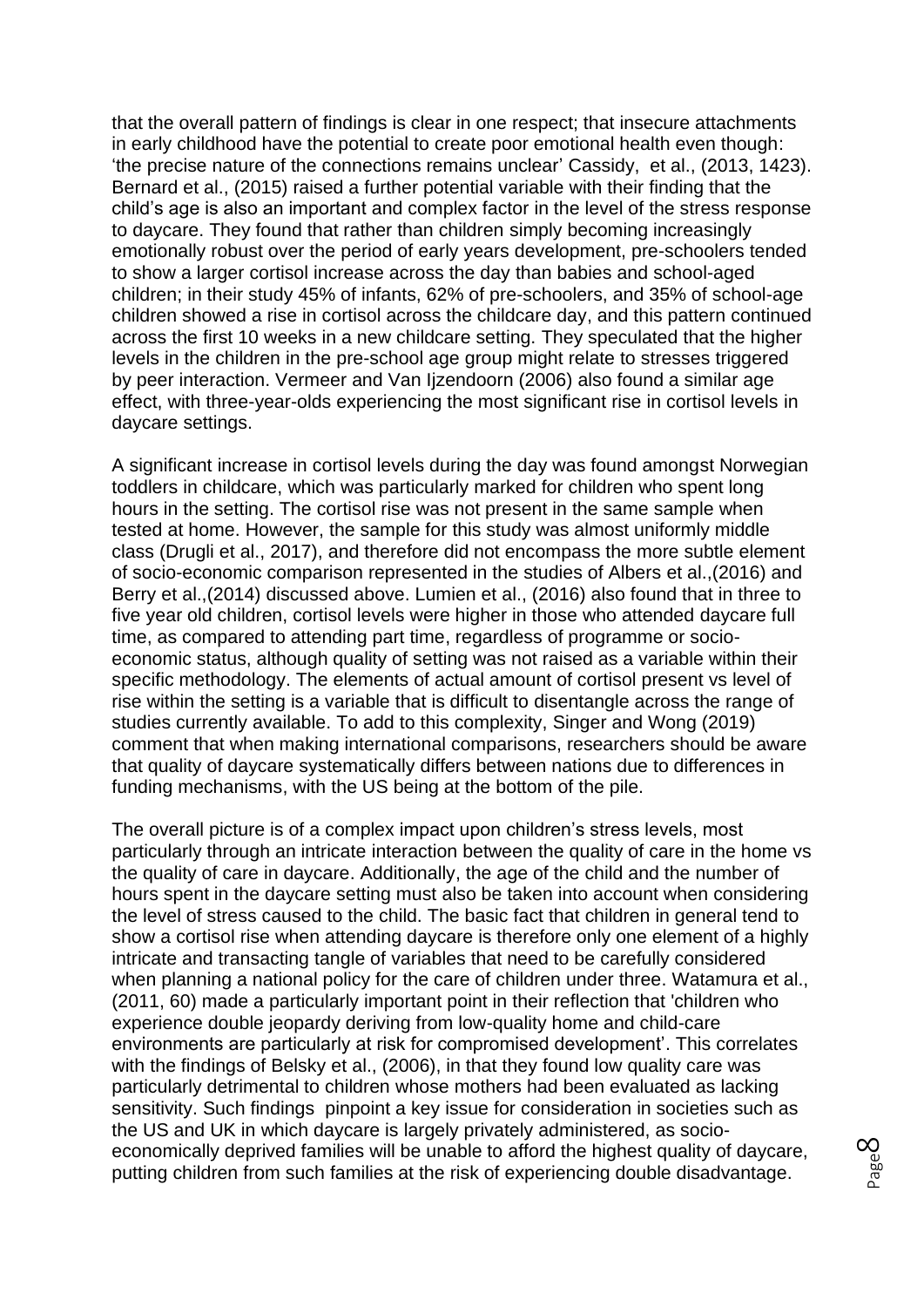that the overall pattern of findings is clear in one respect; that insecure attachments in early childhood have the potential to create poor emotional health even though: 'the precise nature of the connections remains unclear' Cassidy, et al., (2013, 1423). Bernard et al., (2015) raised a further potential variable with their finding that the child's age is also an important and complex factor in the level of the stress response to daycare. They found that rather than children simply becoming increasingly emotionally robust over the period of early years development, pre-schoolers tended to show a larger cortisol increase across the day than babies and school-aged children; in their study 45% of infants, 62% of pre-schoolers, and 35% of school-age children showed a rise in cortisol across the childcare day, and this pattern continued across the first 10 weeks in a new childcare setting. They speculated that the higher levels in the children in the pre-school age group might relate to stresses triggered by peer interaction. Vermeer and Van Ijzendoorn (2006) also found a similar age effect, with three-year-olds experiencing the most significant rise in cortisol levels in daycare settings.

A significant increase in cortisol levels during the day was found amongst Norwegian toddlers in childcare, which was particularly marked for children who spent long hours in the setting. The cortisol rise was not present in the same sample when tested at home. However, the sample for this study was almost uniformly middle class (Drugli et al., 2017), and therefore did not encompass the more subtle element of socio-economic comparison represented in the studies of Albers et al.,(2016) and Berry et al.,(2014) discussed above. Lumien et al., (2016) also found that in three to five year old children, cortisol levels were higher in those who attended daycare full time, as compared to attending part time, regardless of programme or socioeconomic status, although quality of setting was not raised as a variable within their specific methodology. The elements of actual amount of cortisol present vs level of rise within the setting is a variable that is difficult to disentangle across the range of studies currently available. To add to this complexity, Singer and Wong (2019) comment that when making international comparisons, researchers should be aware that quality of daycare systematically differs between nations due to differences in funding mechanisms, with the US being at the bottom of the pile.

The overall picture is of a complex impact upon children's stress levels, most particularly through an intricate interaction between the quality of care in the home vs the quality of care in daycare. Additionally, the age of the child and the number of hours spent in the daycare setting must also be taken into account when considering the level of stress caused to the child. The basic fact that children in general tend to show a cortisol rise when attending daycare is therefore only one element of a highly intricate and transacting tangle of variables that need to be carefully considered when planning a national policy for the care of children under three. Watamura et al., (2011, 60) made a particularly important point in their reflection that 'children who experience double jeopardy deriving from low-quality home and child-care environments are particularly at risk for compromised development'. This correlates with the findings of Belsky et al., (2006), in that they found low quality care was particularly detrimental to children whose mothers had been evaluated as lacking sensitivity. Such findings pinpoint a key issue for consideration in societies such as the US and UK in which daycare is largely privately administered, as socioeconomically deprived families will be unable to afford the highest quality of daycare, putting children from such families at the risk of experiencing double disadvantage.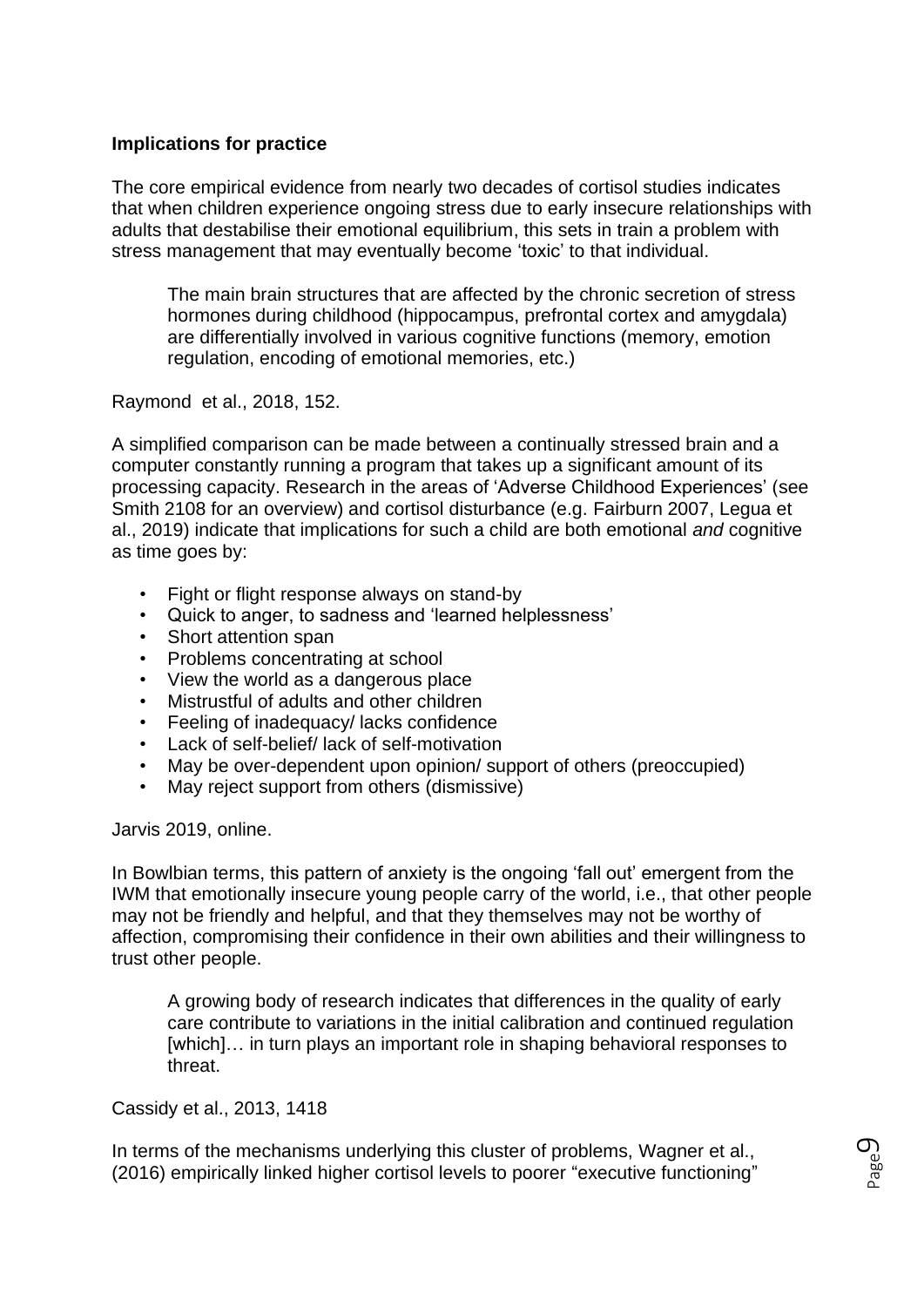## **Implications for practice**

The core empirical evidence from nearly two decades of cortisol studies indicates that when children experience ongoing stress due to early insecure relationships with adults that destabilise their emotional equilibrium, this sets in train a problem with stress management that may eventually become 'toxic' to that individual.

The main brain structures that are affected by the chronic secretion of stress hormones during childhood (hippocampus, prefrontal cortex and amygdala) are differentially involved in various cognitive functions (memory, emotion regulation, encoding of emotional memories, etc.)

Raymond et al., 2018, 152.

A simplified comparison can be made between a continually stressed brain and a computer constantly running a program that takes up a significant amount of its processing capacity. Research in the areas of 'Adverse Childhood Experiences' (see Smith 2108 for an overview) and cortisol disturbance (e.g. Fairburn 2007, Legua et al., 2019) indicate that implications for such a child are both emotional *and* cognitive as time goes by:

- Fight or flight response always on stand-by
- Quick to anger, to sadness and 'learned helplessness'
- Short attention span
- Problems concentrating at school
- View the world as a dangerous place
- Mistrustful of adults and other children
- Feeling of inadequacy/ lacks confidence
- Lack of self-belief/ lack of self-motivation
- May be over-dependent upon opinion/ support of others (preoccupied)
- May reject support from others (dismissive)

Jarvis 2019, online.

In Bowlbian terms, this pattern of anxiety is the ongoing 'fall out' emergent from the IWM that emotionally insecure young people carry of the world, i.e., that other people may not be friendly and helpful, and that they themselves may not be worthy of affection, compromising their confidence in their own abilities and their willingness to trust other people.

A growing body of research indicates that differences in the quality of early care contribute to variations in the initial calibration and continued regulation [which]... in turn plays an important role in shaping behavioral responses to threat.

Cassidy et al., 2013, 1418

In terms of the mechanisms underlying this cluster of problems, Wagner et al., (2016) empirically linked higher cortisol levels to poorer "executive functioning"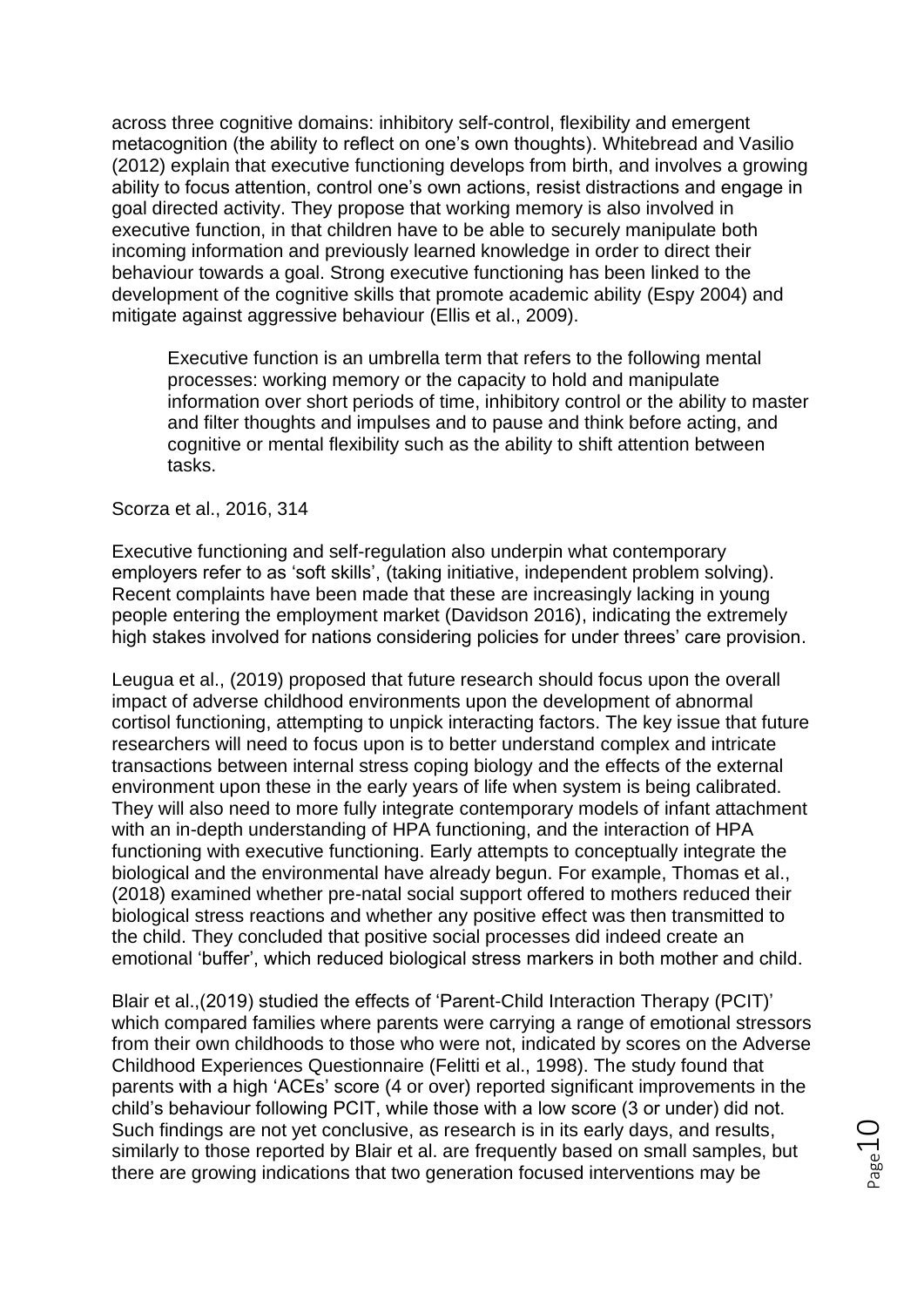across three cognitive domains: inhibitory self-control, flexibility and emergent metacognition (the ability to reflect on one's own thoughts). Whitebread and Vasilio (2012) explain that executive functioning develops from birth, and involves a growing ability to focus attention, control one's own actions, resist distractions and engage in goal directed activity. They propose that working memory is also involved in executive function, in that children have to be able to securely manipulate both incoming information and previously learned knowledge in order to direct their behaviour towards a goal. Strong executive functioning has been linked to the development of the cognitive skills that promote academic ability (Espy 2004) and mitigate against aggressive behaviour (Ellis et al., 2009).

Executive function is an umbrella term that refers to the following mental processes: working memory or the capacity to hold and manipulate information over short periods of time, inhibitory control or the ability to master and filter thoughts and impulses and to pause and think before acting, and cognitive or mental flexibility such as the ability to shift attention between tasks.

#### Scorza et al., 2016, 314

Executive functioning and self-regulation also underpin what contemporary employers refer to as 'soft skills', (taking initiative, independent problem solving). Recent complaints have been made that these are increasingly lacking in young people entering the employment market (Davidson 2016), indicating the extremely high stakes involved for nations considering policies for under threes' care provision.

Leugua et al., (2019) proposed that future research should focus upon the overall impact of adverse childhood environments upon the development of abnormal cortisol functioning, attempting to unpick interacting factors. The key issue that future researchers will need to focus upon is to better understand complex and intricate transactions between internal stress coping biology and the effects of the external environment upon these in the early years of life when system is being calibrated. They will also need to more fully integrate contemporary models of infant attachment with an in-depth understanding of HPA functioning, and the interaction of HPA functioning with executive functioning. Early attempts to conceptually integrate the biological and the environmental have already begun. For example, Thomas et al., (2018) examined whether pre-natal social support offered to mothers reduced their biological stress reactions and whether any positive effect was then transmitted to the child. They concluded that positive social processes did indeed create an emotional 'buffer', which reduced biological stress markers in both mother and child.

Blair et al.,(2019) studied the effects of 'Parent-Child Interaction Therapy (PCIT)' which compared families where parents were carrying a range of emotional stressors from their own childhoods to those who were not, indicated by scores on the Adverse Childhood Experiences Questionnaire (Felitti et al., 1998). The study found that parents with a high 'ACEs' score (4 or over) reported significant improvements in the child's behaviour following PCIT, while those with a low score (3 or under) did not. Such findings are not yet conclusive, as research is in its early days, and results, similarly to those reported by Blair et al. are frequently based on small samples, but there are growing indications that two generation focused interventions may be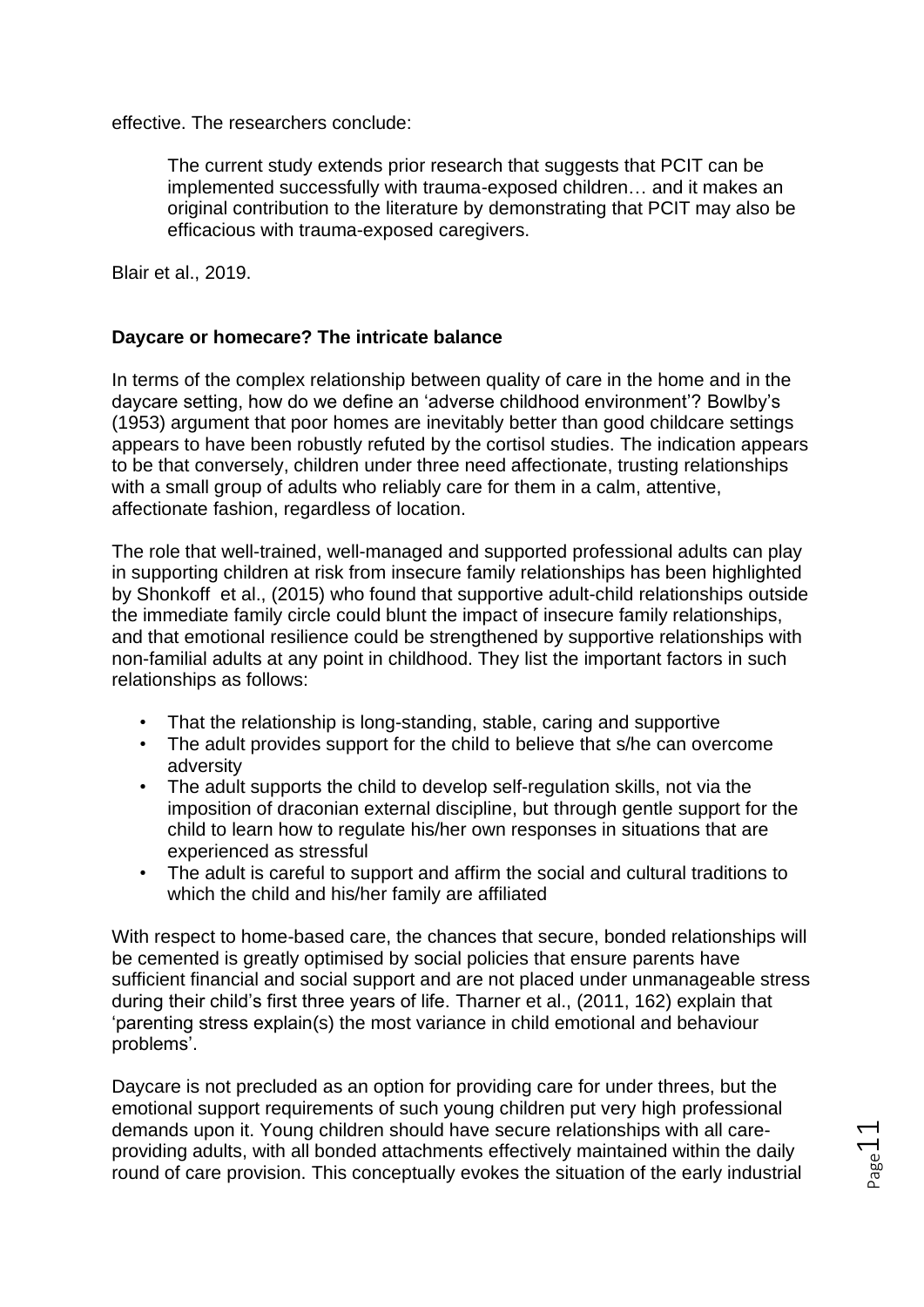effective. The researchers conclude:

The current study extends prior research that suggests that PCIT can be implemented successfully with trauma-exposed children… and it makes an original contribution to the literature by demonstrating that PCIT may also be efficacious with trauma-exposed caregivers.

Blair et al., 2019.

## **Daycare or homecare? The intricate balance**

In terms of the complex relationship between quality of care in the home and in the daycare setting, how do we define an 'adverse childhood environment'? Bowlby's (1953) argument that poor homes are inevitably better than good childcare settings appears to have been robustly refuted by the cortisol studies. The indication appears to be that conversely, children under three need affectionate, trusting relationships with a small group of adults who reliably care for them in a calm, attentive, affectionate fashion, regardless of location.

The role that well-trained, well-managed and supported professional adults can play in supporting children at risk from insecure family relationships has been highlighted by Shonkoff et al., (2015) who found that supportive adult-child relationships outside the immediate family circle could blunt the impact of insecure family relationships, and that emotional resilience could be strengthened by supportive relationships with non-familial adults at any point in childhood. They list the important factors in such relationships as follows:

- That the relationship is long-standing, stable, caring and supportive
- The adult provides support for the child to believe that s/he can overcome adversity
- The adult supports the child to develop self-regulation skills, not via the imposition of draconian external discipline, but through gentle support for the child to learn how to regulate his/her own responses in situations that are experienced as stressful
- The adult is careful to support and affirm the social and cultural traditions to which the child and his/her family are affiliated

With respect to home-based care, the chances that secure, bonded relationships will be cemented is greatly optimised by social policies that ensure parents have sufficient financial and social support and are not placed under unmanageable stress during their child's first three years of life. Tharner et al., (2011, 162) explain that 'parenting stress explain(s) the most variance in child emotional and behaviour problems'.

Daycare is not precluded as an option for providing care for under threes, but the emotional support requirements of such young children put very high professional demands upon it. Young children should have secure relationships with all careproviding adults, with all bonded attachments effectively maintained within the daily round of care provision. This conceptually evokes the situation of the early industrial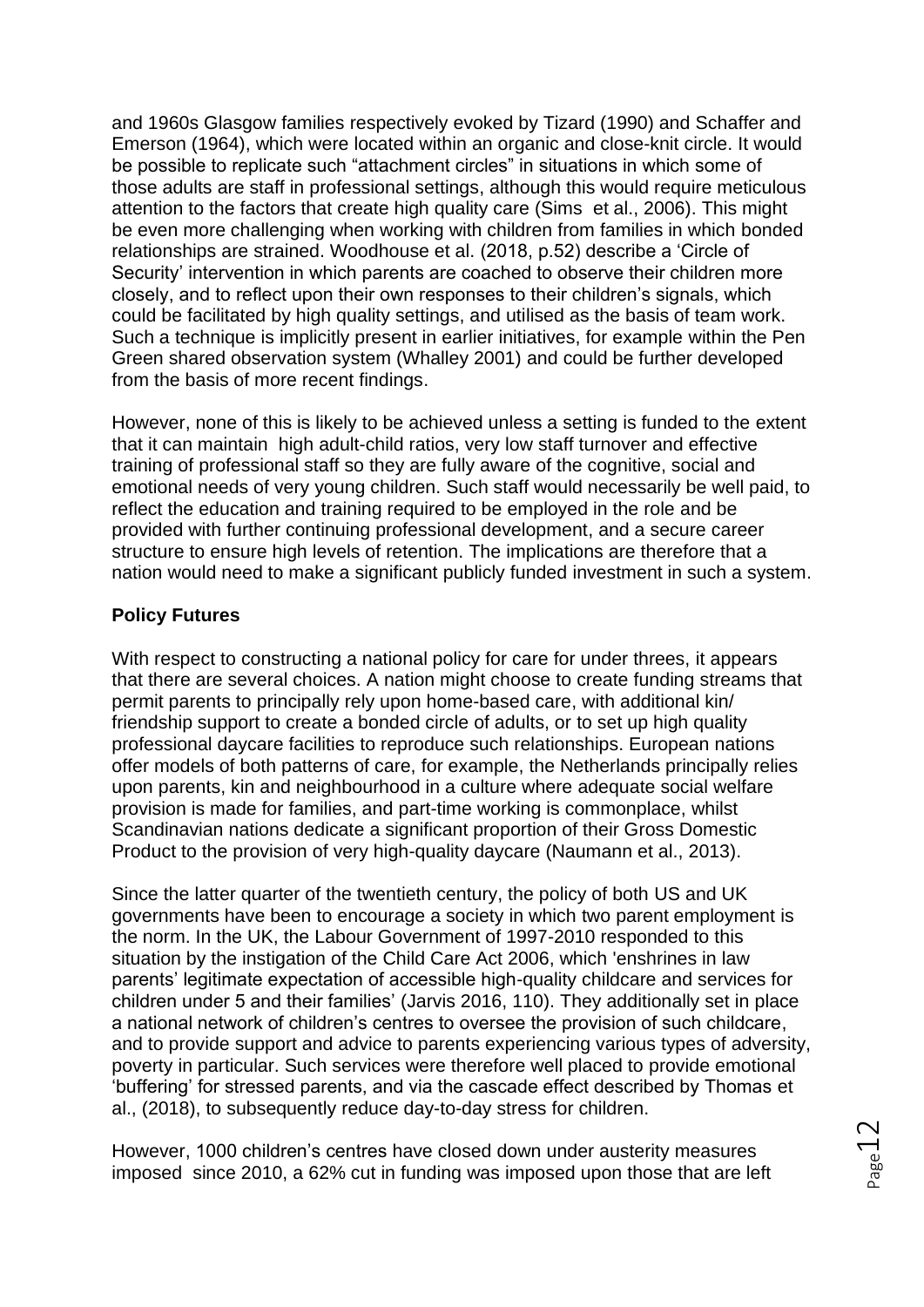and 1960s Glasgow families respectively evoked by Tizard (1990) and Schaffer and Emerson (1964), which were located within an organic and close-knit circle. It would be possible to replicate such "attachment circles" in situations in which some of those adults are staff in professional settings, although this would require meticulous attention to the factors that create high quality care (Sims et al., 2006). This might be even more challenging when working with children from families in which bonded relationships are strained. Woodhouse et al. (2018, p.52) describe a 'Circle of Security' intervention in which parents are coached to observe their children more closely, and to reflect upon their own responses to their children's signals, which could be facilitated by high quality settings, and utilised as the basis of team work. Such a technique is implicitly present in earlier initiatives, for example within the Pen Green shared observation system (Whalley 2001) and could be further developed from the basis of more recent findings.

However, none of this is likely to be achieved unless a setting is funded to the extent that it can maintain high adult-child ratios, very low staff turnover and effective training of professional staff so they are fully aware of the cognitive, social and emotional needs of very young children. Such staff would necessarily be well paid, to reflect the education and training required to be employed in the role and be provided with further continuing professional development, and a secure career structure to ensure high levels of retention. The implications are therefore that a nation would need to make a significant publicly funded investment in such a system.

## **Policy Futures**

With respect to constructing a national policy for care for under threes, it appears that there are several choices. A nation might choose to create funding streams that permit parents to principally rely upon home-based care, with additional kin/ friendship support to create a bonded circle of adults, or to set up high quality professional daycare facilities to reproduce such relationships. European nations offer models of both patterns of care, for example, the Netherlands principally relies upon parents, kin and neighbourhood in a culture where adequate social welfare provision is made for families, and part-time working is commonplace, whilst Scandinavian nations dedicate a significant proportion of their Gross Domestic Product to the provision of very high-quality daycare (Naumann et al., 2013).

Since the latter quarter of the twentieth century, the policy of both US and UK governments have been to encourage a society in which two parent employment is the norm. In the UK, the Labour Government of 1997-2010 responded to this situation by the instigation of the Child Care Act 2006, which 'enshrines in law parents' legitimate expectation of accessible high-quality childcare and services for children under 5 and their families' (Jarvis 2016, 110). They additionally set in place a national network of children's centres to oversee the provision of such childcare, and to provide support and advice to parents experiencing various types of adversity, poverty in particular. Such services were therefore well placed to provide emotional 'buffering' for stressed parents, and via the cascade effect described by Thomas et al., (2018), to subsequently reduce day-to-day stress for children.

However, 1000 children's centres have closed down under austerity measures imposed since 2010, a 62% cut in funding was imposed upon those that are left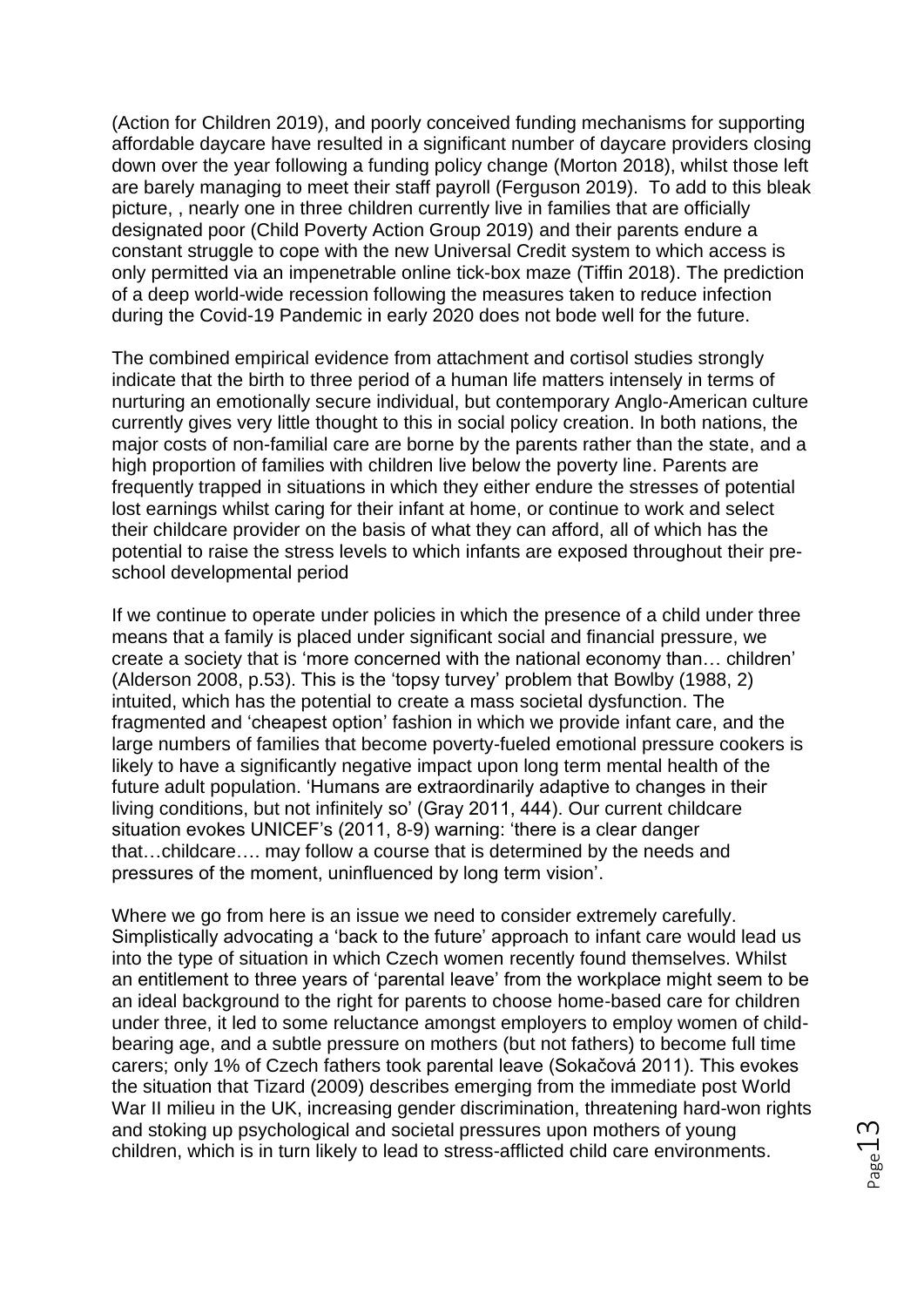(Action for Children 2019), and poorly conceived funding mechanisms for supporting affordable daycare have resulted in a significant number of daycare providers closing down over the year following a funding policy change (Morton 2018), whilst those left are barely managing to meet their staff payroll (Ferguson 2019). To add to this bleak picture, , nearly one in three children currently live in families that are officially designated poor (Child Poverty Action Group 2019) and their parents endure a constant struggle to cope with the new Universal Credit system to which access is only permitted via an impenetrable online tick-box maze (Tiffin 2018). The prediction of a deep world-wide recession following the measures taken to reduce infection during the Covid-19 Pandemic in early 2020 does not bode well for the future.

The combined empirical evidence from attachment and cortisol studies strongly indicate that the birth to three period of a human life matters intensely in terms of nurturing an emotionally secure individual, but contemporary Anglo-American culture currently gives very little thought to this in social policy creation. In both nations, the major costs of non-familial care are borne by the parents rather than the state, and a high proportion of families with children live below the poverty line. Parents are frequently trapped in situations in which they either endure the stresses of potential lost earnings whilst caring for their infant at home, or continue to work and select their childcare provider on the basis of what they can afford, all of which has the potential to raise the stress levels to which infants are exposed throughout their preschool developmental period

If we continue to operate under policies in which the presence of a child under three means that a family is placed under significant social and financial pressure, we create a society that is 'more concerned with the national economy than… children' (Alderson 2008, p.53). This is the 'topsy turvey' problem that Bowlby (1988, 2) intuited, which has the potential to create a mass societal dysfunction. The fragmented and 'cheapest option' fashion in which we provide infant care, and the large numbers of families that become poverty-fueled emotional pressure cookers is likely to have a significantly negative impact upon long term mental health of the future adult population. 'Humans are extraordinarily adaptive to changes in their living conditions, but not infinitely so' (Gray 2011, 444). Our current childcare situation evokes UNICEF's (2011, 8-9) warning: 'there is a clear danger that…childcare…. may follow a course that is determined by the needs and pressures of the moment, uninfluenced by long term vision'.

Where we go from here is an issue we need to consider extremely carefully. Simplistically advocating a 'back to the future' approach to infant care would lead us into the type of situation in which Czech women recently found themselves. Whilst an entitlement to three years of 'parental leave' from the workplace might seem to be an ideal background to the right for parents to choose home-based care for children under three, it led to some reluctance amongst employers to employ women of childbearing age, and a subtle pressure on mothers (but not fathers) to become full time carers; only 1% of Czech fathers took parental leave (Sokačová 2011). This evokes the situation that Tizard (2009) describes emerging from the immediate post World War II milieu in the UK, increasing gender discrimination, threatening hard-won rights and stoking up psychological and societal pressures upon mothers of young children, which is in turn likely to lead to stress-afflicted child care environments.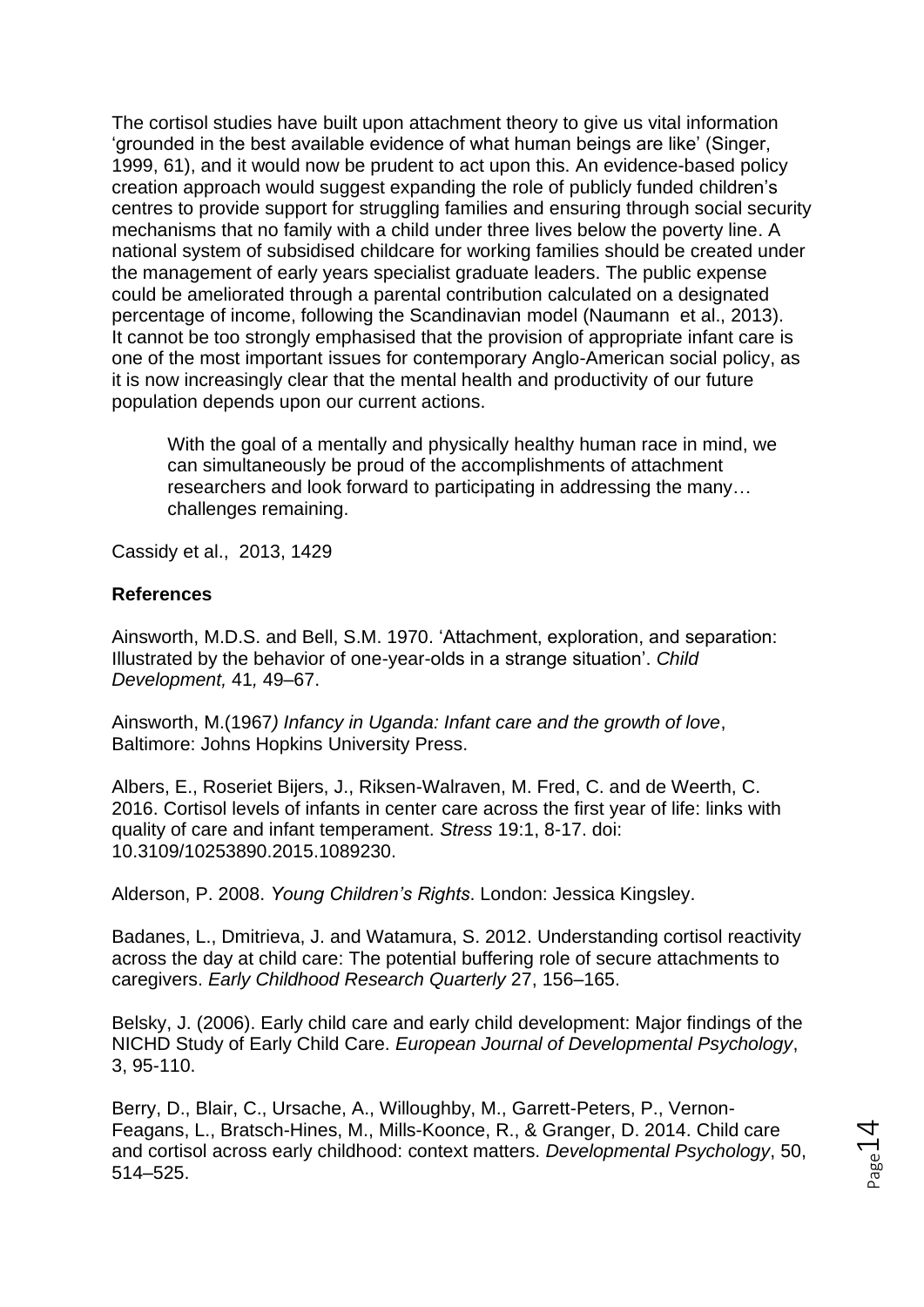The cortisol studies have built upon attachment theory to give us vital information 'grounded in the best available evidence of what human beings are like' (Singer, 1999, 61), and it would now be prudent to act upon this. An evidence-based policy creation approach would suggest expanding the role of publicly funded children's centres to provide support for struggling families and ensuring through social security mechanisms that no family with a child under three lives below the poverty line. A national system of subsidised childcare for working families should be created under the management of early years specialist graduate leaders. The public expense could be ameliorated through a parental contribution calculated on a designated percentage of income, following the Scandinavian model (Naumann et al., 2013). It cannot be too strongly emphasised that the provision of appropriate infant care is one of the most important issues for contemporary Anglo-American social policy, as it is now increasingly clear that the mental health and productivity of our future population depends upon our current actions.

With the goal of a mentally and physically healthy human race in mind, we can simultaneously be proud of the accomplishments of attachment researchers and look forward to participating in addressing the many… challenges remaining.

Cassidy et al., 2013, 1429

## **References**

Ainsworth, M.D.S. and Bell, S.M. 1970. 'Attachment, exploration, and separation: Illustrated by the behavior of one-year-olds in a strange situation'. *Child Development,* 41*,* 49–67.

Ainsworth, M.(1967*) Infancy in Uganda: Infant care and the growth of love*, Baltimore: Johns Hopkins University Press.

Albers, E., Roseriet Bijers, J., Riksen-Walraven, M. Fred, C. and de Weerth, C. 2016. Cortisol levels of infants in center care across the first year of life: links with quality of care and infant temperament. *Stress* 19:1, 8-17. doi: 10.3109/10253890.2015.1089230.

Alderson, P. 2008. *Young Children's Rights*. London: Jessica Kingsley.

Badanes, L., Dmitrieva, J. and Watamura, S. 2012. Understanding cortisol reactivity across the day at child care: The potential buffering role of secure attachments to caregivers. *Early Childhood Research Quarterly* 27, 156–165.

Belsky, J. (2006). Early child care and early child development: Major findings of the NICHD Study of Early Child Care. *European Journal of Developmental Psychology*, 3, 95-110.

Berry, D., Blair, C., Ursache, A., Willoughby, M., Garrett-Peters, P., Vernon-Feagans, L., Bratsch-Hines, M., Mills-Koonce, R., & Granger, D. 2014. Child care and cortisol across early childhood: context matters. *Developmental Psychology*, 50, 514–525.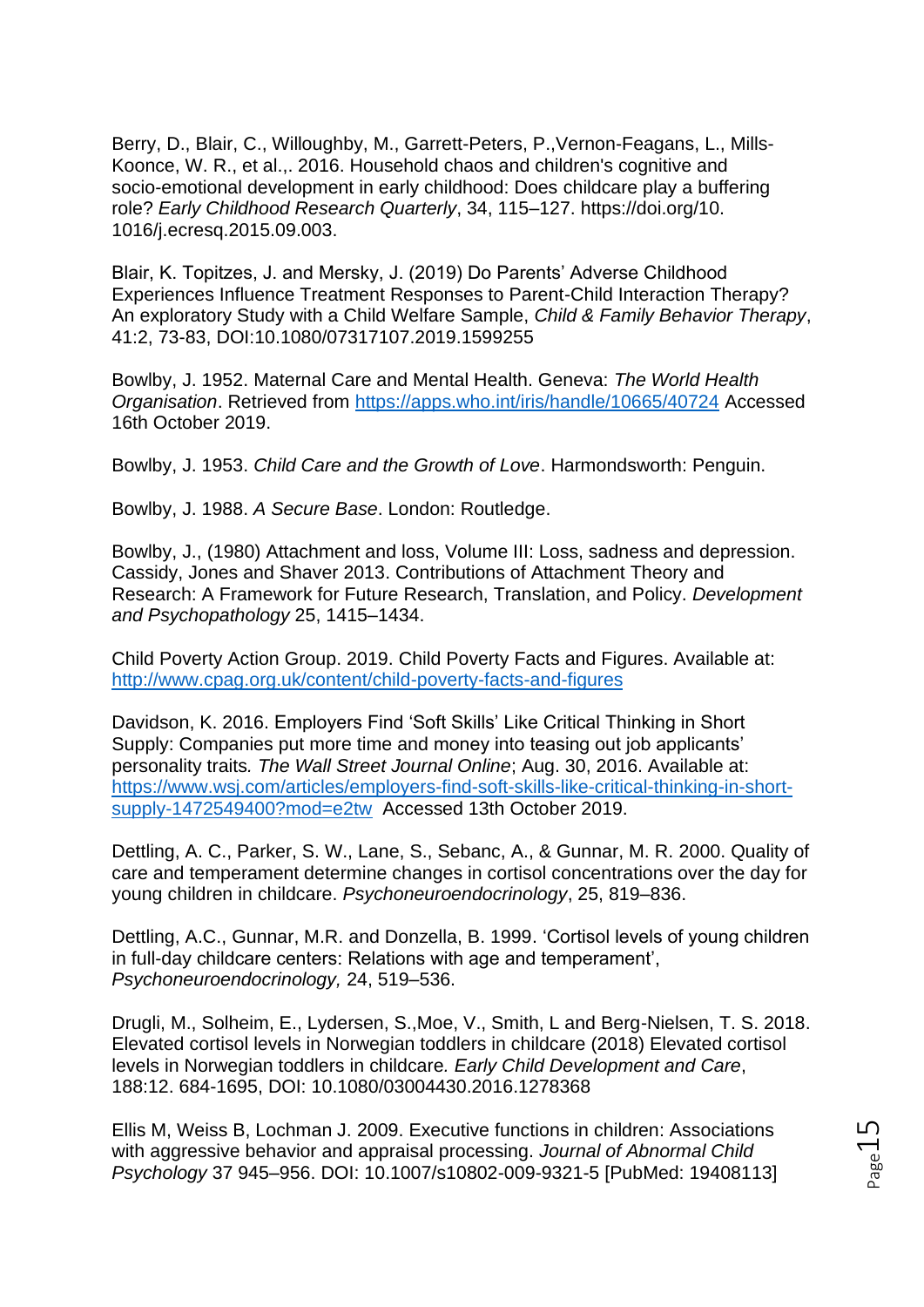Berry, D., Blair, C., Willoughby, M., Garrett-Peters, P.,Vernon-Feagans, L., Mills-Koonce, W. R., et al.,. 2016. Household chaos and children's cognitive and socio-emotional development in early childhood: Does childcare play a buffering role? *Early Childhood Research Quarterly*, 34, 115–127. https://doi.org/10. 1016/j.ecresq.2015.09.003.

Blair, K. Topitzes, J. and Mersky, J. (2019) Do Parents' Adverse Childhood Experiences Influence Treatment Responses to Parent-Child Interaction Therapy? An exploratory Study with a Child Welfare Sample, *Child & Family Behavior Therapy*, 41:2, 73-83, DOI:10.1080/07317107.2019.1599255

Bowlby, J. 1952. Maternal Care and Mental Health. Geneva: *The World Health Organisation*. Retrieved from<https://apps.who.int/iris/handle/10665/40724> Accessed 16th October 2019.

Bowlby, J. 1953. *Child Care and the Growth of Love*. Harmondsworth: Penguin.

Bowlby, J. 1988. *A Secure Base*. London: Routledge.

Bowlby, J., (1980) Attachment and loss, Volume III: Loss, sadness and depression. Cassidy, Jones and Shaver 2013. Contributions of Attachment Theory and Research: A Framework for Future Research, Translation, and Policy. *Development and Psychopathology* 25, 1415–1434.

Child Poverty Action Group. 2019. Child Poverty Facts and Figures. Available at: <http://www.cpag.org.uk/content/child-poverty-facts-and-figures>

Davidson, K. 2016. Employers Find 'Soft Skills' Like Critical Thinking in Short Supply: Companies put more time and money into teasing out job applicants' personality traits*. The Wall Street Journal Online*; Aug. 30, 2016. Available at: [https://www.wsj.com/articles/employers-find-soft-skills-like-critical-thinking-in-short](https://www.wsj.com/articles/employers-find-soft-skills-like-critical-thinking-in-short-supply-1472549400?mod=e2tw)[supply-1472549400?mod=e2tw](https://www.wsj.com/articles/employers-find-soft-skills-like-critical-thinking-in-short-supply-1472549400?mod=e2tw) Accessed 13th October 2019.

Dettling, A. C., Parker, S. W., Lane, S., Sebanc, A., & Gunnar, M. R. 2000. Quality of care and temperament determine changes in cortisol concentrations over the day for young children in childcare. *Psychoneuroendocrinology*, 25, 819–836.

Dettling, A.C., Gunnar, M.R. and Donzella, B. 1999. 'Cortisol levels of young children in full-day childcare centers: Relations with age and temperament', *Psychoneuroendocrinology,* 24, 519–536.

Drugli, M., Solheim, E., Lydersen, S.,Moe, V., Smith, L and Berg-Nielsen, T. S. 2018. Elevated cortisol levels in Norwegian toddlers in childcare (2018) Elevated cortisol levels in Norwegian toddlers in childcare*. Early Child Development and Care*, 188:12. 684-1695, DOI: 10.1080/03004430.2016.1278368

Ellis M, Weiss B, Lochman J. 2009. Executive functions in children: Associations with aggressive behavior and appraisal processing. *Journal of Abnormal Child Psychology* 37 945–956. DOI: 10.1007/s10802-009-9321-5 [PubMed: 19408113]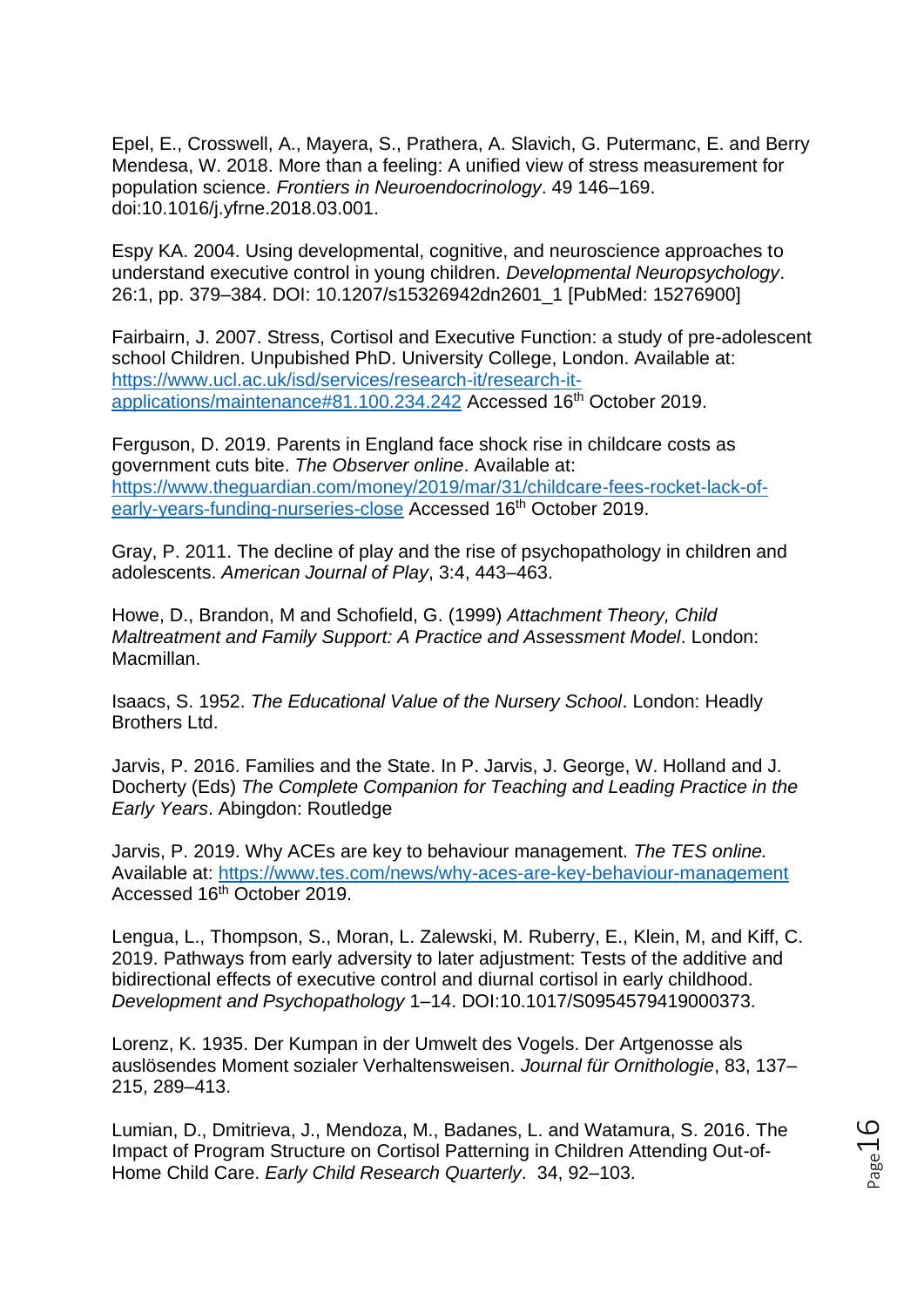Epel, E., Crosswell, A., Mayera, S., Prathera, A. Slavich, G. Putermanc, E. and Berry Mendesa, W. 2018. More than a feeling: A unified view of stress measurement for population science. *Frontiers in Neuroendocrinology*. 49 146–169. doi:10.1016/j.yfrne.2018.03.001.

Espy KA. 2004. Using developmental, cognitive, and neuroscience approaches to understand executive control in young children. *Developmental Neuropsychology*. 26:1, pp. 379–384. DOI: 10.1207/s15326942dn2601\_1 [PubMed: 15276900]

Fairbairn, J. 2007. Stress, Cortisol and Executive Function: a study of pre-adolescent school Children. Unpubished PhD. University College, London. Available at: [https://www.ucl.ac.uk/isd/services/research-it/research-it](https://www.ucl.ac.uk/isd/services/research-it/research-it-applications/maintenance#81.100.234.242)[applications/maintenance#81.100.234.242](https://www.ucl.ac.uk/isd/services/research-it/research-it-applications/maintenance#81.100.234.242) Accessed 16th October 2019.

Ferguson, D. 2019. Parents in England face shock rise in childcare costs as government cuts bite. *The Observer online*. Available at: [https://www.theguardian.com/money/2019/mar/31/childcare-fees-rocket-lack-of](https://www.theguardian.com/money/2019/mar/31/childcare-fees-rocket-lack-of-early-years-funding-nurseries-close)[early-years-funding-nurseries-close](https://www.theguardian.com/money/2019/mar/31/childcare-fees-rocket-lack-of-early-years-funding-nurseries-close) Accessed 16th October 2019.

Gray, P. 2011. The decline of play and the rise of psychopathology in children and adolescents. *American Journal of Play*, 3:4, 443–463.

Howe, D., Brandon, M and Schofield, G. (1999) *Attachment Theory, Child Maltreatment and Family Support: A Practice and Assessment Model*. London: Macmillan.

Isaacs, S. 1952. *The Educational Value of the Nursery School*. London: Headly Brothers Ltd.

Jarvis, P. 2016. Families and the State. In P. Jarvis, J. George, W. Holland and J. Docherty (Eds) *The Complete Companion for Teaching and Leading Practice in the Early Years*. Abingdon: Routledge

Jarvis, P. 2019. Why ACEs are key to behaviour management. *The TES online.* Available at:<https://www.tes.com/news/why-aces-are-key-behaviour-management> Accessed 16<sup>th</sup> October 2019.

Lengua, L., Thompson, S., Moran, L. Zalewski, M. Ruberry, E., Klein, M, and Kiff, C. 2019. Pathways from early adversity to later adjustment: Tests of the additive and bidirectional effects of executive control and diurnal cortisol in early childhood. *Development and Psychopathology* 1–14. DOI:10.1017/S0954579419000373.

Lorenz, K. 1935. Der Kumpan in der Umwelt des Vogels. Der Artgenosse als auslösendes Moment sozialer Verhaltensweisen. *Journal für Ornithologie*, 83, 137– 215, 289–413.

Lumian, D., Dmitrieva, J., Mendoza, M., Badanes, L. and Watamura, S. 2016. The Impact of Program Structure on Cortisol Patterning in Children Attending Out-of-Home Child Care. *Early Child Research Quarterly*. 34, 92–103.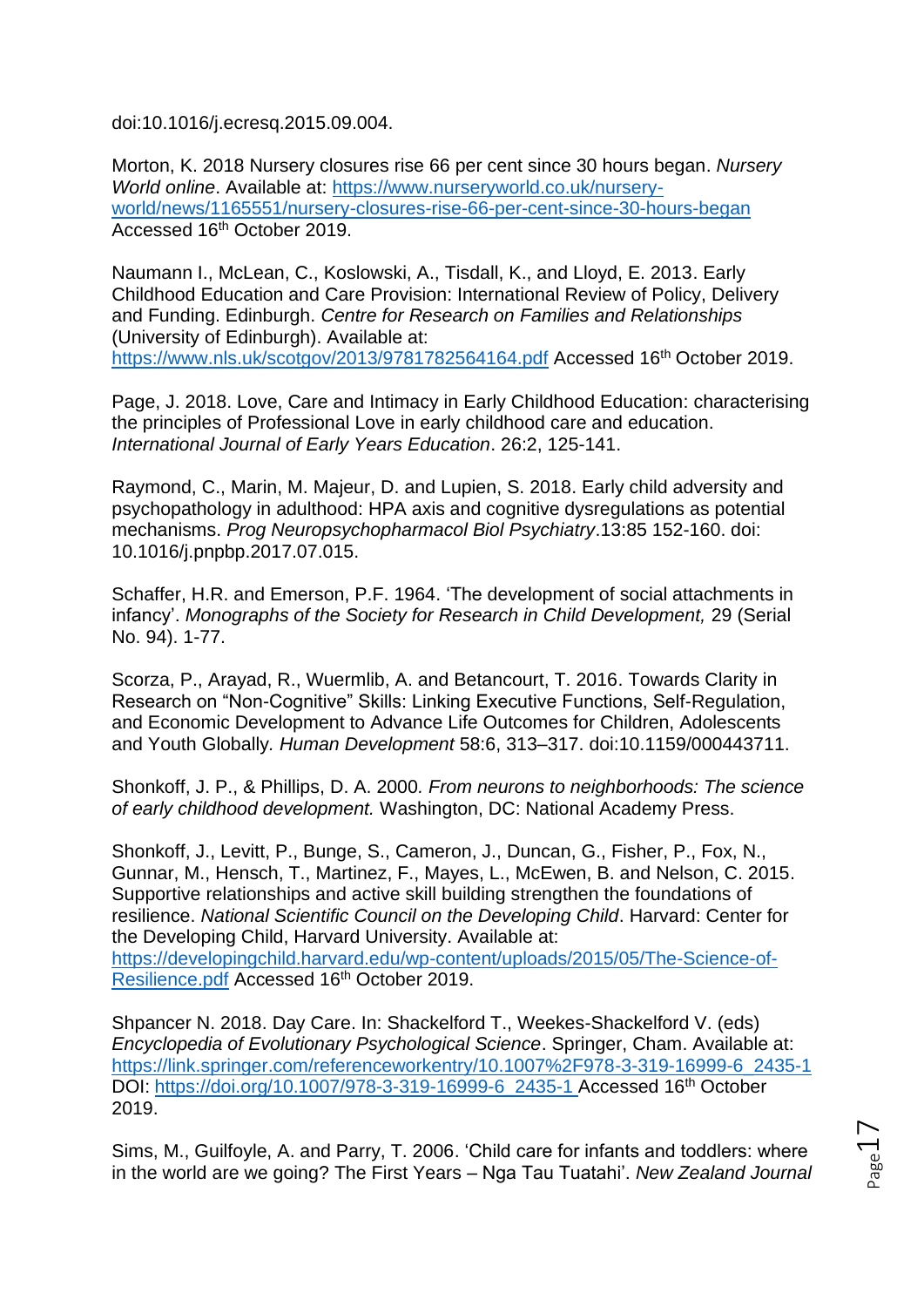doi:10.1016/j.ecresq.2015.09.004.

Morton, K. 2018 Nursery closures rise 66 per cent since 30 hours began. *Nursery World online*. Available at: [https://www.nurseryworld.co.uk/nursery](https://www.nurseryworld.co.uk/nursery-world/news/1165551/nursery-closures-rise-66-per-cent-since-30-hours-began)[world/news/1165551/nursery-closures-rise-66-per-cent-since-30-hours-began](https://www.nurseryworld.co.uk/nursery-world/news/1165551/nursery-closures-rise-66-per-cent-since-30-hours-began) Accessed 16th October 2019.

Naumann I., McLean, C., Koslowski, A., Tisdall, K., and Lloyd, E. 2013. Early Childhood Education and Care Provision: International Review of Policy, Delivery and Funding. Edinburgh. *Centre for Research on Families and Relationships* (University of Edinburgh). Available at: <https://www.nls.uk/scotgov/2013/9781782564164.pdf> Accessed 16<sup>th</sup> October 2019.

Page, J. 2018. Love, Care and Intimacy in Early Childhood Education: characterising the principles of Professional Love in early childhood care and education. *International Journal of Early Years Education*. 26:2, 125-141.

Raymond, C., Marin, M. Majeur, D. and Lupien, S. 2018. Early child adversity and psychopathology in adulthood: HPA axis and cognitive dysregulations as potential mechanisms. *Prog Neuropsychopharmacol Biol Psychiatry*.13:85 152-160. doi: 10.1016/j.pnpbp.2017.07.015.

Schaffer, H.R. and Emerson, P.F. 1964. 'The development of social attachments in infancy'. *Monographs of the Society for Research in Child Development,* 29 (Serial No. 94). 1-77.

Scorza, P., Arayad, R., Wuermlib, A. and Betancourt, T. 2016. Towards Clarity in Research on "Non-Cognitive" Skills: Linking Executive Functions, Self-Regulation, and Economic Development to Advance Life Outcomes for Children, Adolescents and Youth Globally*. Human Development* 58:6, 313–317. doi:10.1159/000443711.

Shonkoff, J. P., & Phillips, D. A. 2000*. From neurons to neighborhoods: The science of early childhood development.* Washington, DC: National Academy Press.

Shonkoff, J., Levitt, P., Bunge, S., Cameron, J., Duncan, G., Fisher, P., Fox, N., Gunnar, M., Hensch, T., Martinez, F., Mayes, L., McEwen, B. and Nelson, C. 2015. Supportive relationships and active skill building strengthen the foundations of resilience. *National Scientific Council on the Developing Child*. Harvard: Center for the Developing Child, Harvard University. Available at: [https://developingchild.harvard.edu/wp-content/uploads/2015/05/The-Science-of-](https://developingchild.harvard.edu/wp-content/uploads/2015/05/The-Science-of-Resilience.pdf)[Resilience.pdf](https://developingchild.harvard.edu/wp-content/uploads/2015/05/The-Science-of-Resilience.pdf) Accessed 16<sup>th</sup> October 2019.

Shpancer N. 2018. Day Care. In: Shackelford T., Weekes-Shackelford V. (eds) *Encyclopedia of Evolutionary Psychological Science*. Springer, Cham. Available at: [https://link.springer.com/referenceworkentry/10.1007%2F978-3-319-16999-6\\_2435-1](https://link.springer.com/referenceworkentry/10.1007%2F978-3-319-16999-6_2435-1) DOI: [https://doi.org/10.1007/978-3-319-16999-6\\_2435-1](https://doi.org/10.1007/978-3-319-16999-6_2435-1) Accessed 16th October 2019.

Sims, M., Guilfoyle, A. and Parry, T. 2006. 'Child care for infants and toddlers: where in the world are we going? The First Years – Nga Tau Tuatahi'. *New Zealand Journal*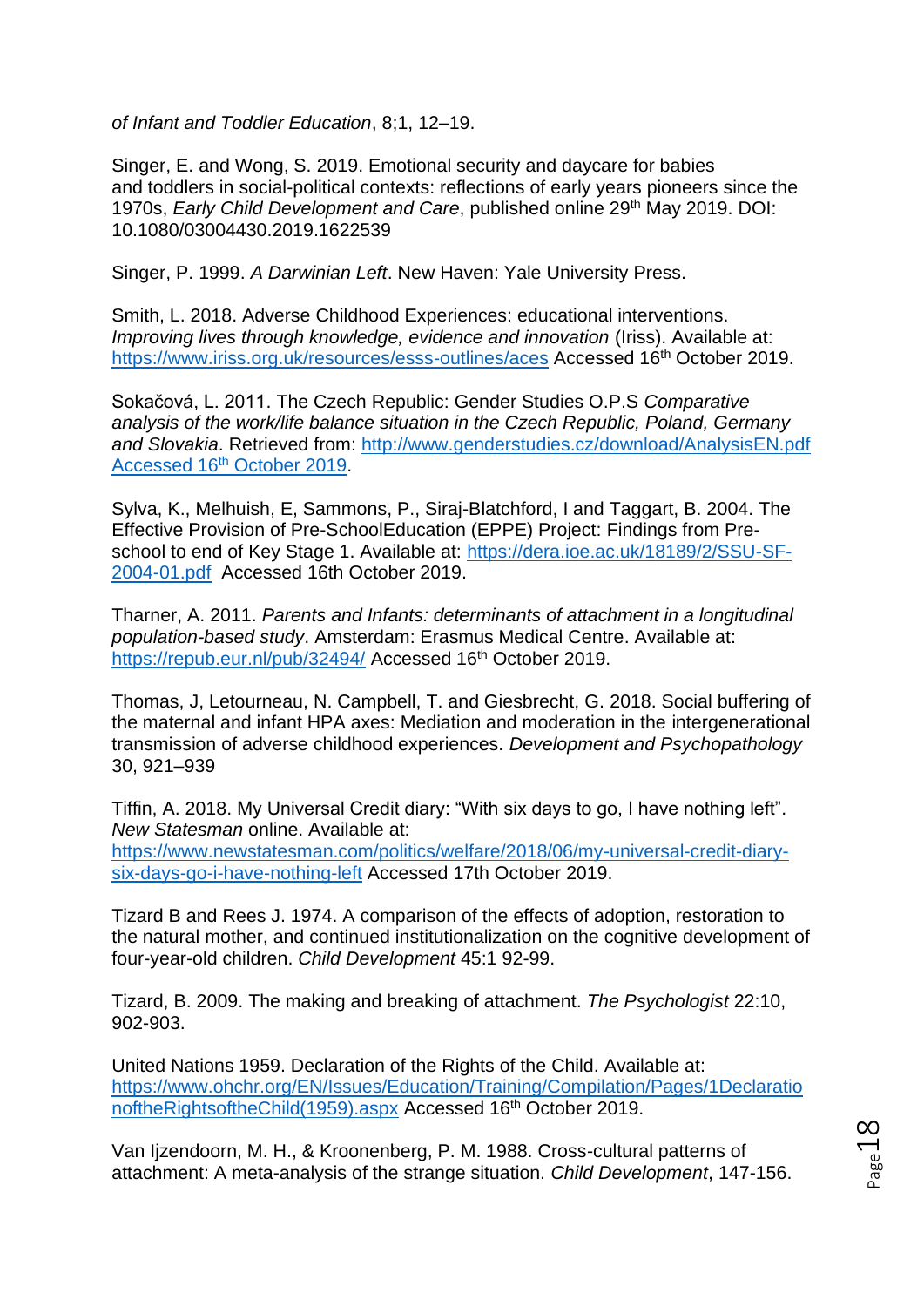*of Infant and Toddler Education*, 8;1, 12–19.

Singer, E. and Wong, S. 2019. Emotional security and daycare for babies and toddlers in social-political contexts: reflections of early years pioneers since the 1970s, *Early Child Development and Care*, published online 29th May 2019. DOI: 10.1080/03004430.2019.1622539

Singer, P. 1999. *A Darwinian Left*. New Haven: Yale University Press.

Smith, L. 2018. Adverse Childhood Experiences: educational interventions. *Improving lives through knowledge, evidence and innovation* (Iriss). Available at: <https://www.iriss.org.uk/resources/esss-outlines/aces> Accessed 16<sup>th</sup> October 2019.

Sokačová, L. 2011. The Czech Republic: Gender Studies O.P.S *Comparative analysis of the work/life balance situation in the Czech Republic, Poland, Germany and Slovakia*. Retrieved from: [http://www.genderstudies.cz/download/AnalysisEN.pdf](http://www.genderstudies.cz/download/AnalysisEN.pdf%20Accessed%2016th%20October%202019)  Accessed 16th [October 2019.](http://www.genderstudies.cz/download/AnalysisEN.pdf%20Accessed%2016th%20October%202019)

Sylva, K., Melhuish, E, Sammons, P., Siraj-Blatchford, I and Taggart, B. 2004. The Effective Provision of Pre-SchoolEducation (EPPE) Project: Findings from Preschool to end of Key Stage 1. Available at: [https://dera.ioe.ac.uk/18189/2/SSU-SF-](https://dera.ioe.ac.uk/18189/2/SSU-SF-2004-01.pdf)[2004-01.pdf](https://dera.ioe.ac.uk/18189/2/SSU-SF-2004-01.pdf) Accessed 16th October 2019.

Tharner, A. 2011. *Parents and Infants: determinants of attachment in a longitudinal population-based study*. Amsterdam: Erasmus Medical Centre. Available at: <https://repub.eur.nl/pub/32494/> Accessed 16<sup>th</sup> October 2019.

Thomas, J, Letourneau, N. Campbell, T. and Giesbrecht, G. 2018. Social buffering of the maternal and infant HPA axes: Mediation and moderation in the intergenerational transmission of adverse childhood experiences. *Development and Psychopathology* 30, 921–939

Tiffin, A. 2018. My Universal Credit diary: "With six days to go, I have nothing left". *New Statesman* online. Available at: [https://www.newstatesman.com/politics/welfare/2018/06/my-universal-credit-diary](https://www.newstatesman.com/politics/welfare/2018/06/my-universal-credit-diary-six-days-go-i-have-nothing-left)[six-days-go-i-have-nothing-left](https://www.newstatesman.com/politics/welfare/2018/06/my-universal-credit-diary-six-days-go-i-have-nothing-left) Accessed 17th October 2019.

Tizard B and Rees J. 1974. A comparison of the effects of adoption, restoration to the natural mother, and continued institutionalization on the cognitive development of four-year-old children. *Child Development* 45:1 92-99.

Tizard, B. 2009. The making and breaking of attachment. *The Psychologist* 22:10, 902-903.

United Nations 1959. Declaration of the Rights of the Child. Available at: [https://www.ohchr.org/EN/Issues/Education/Training/Compilation/Pages/1Declaratio](https://www.ohchr.org/EN/Issues/Education/Training/Compilation/Pages/1DeclarationoftheRightsoftheChild(1959).aspx) [noftheRightsoftheChild\(1959\).aspx](https://www.ohchr.org/EN/Issues/Education/Training/Compilation/Pages/1DeclarationoftheRightsoftheChild(1959).aspx) Accessed 16<sup>th</sup> October 2019.

Van Ijzendoorn, M. H., & Kroonenberg, P. M. 1988. Cross-cultural patterns of attachment: A meta-analysis of the strange situation. *Child Development*, 147-156.